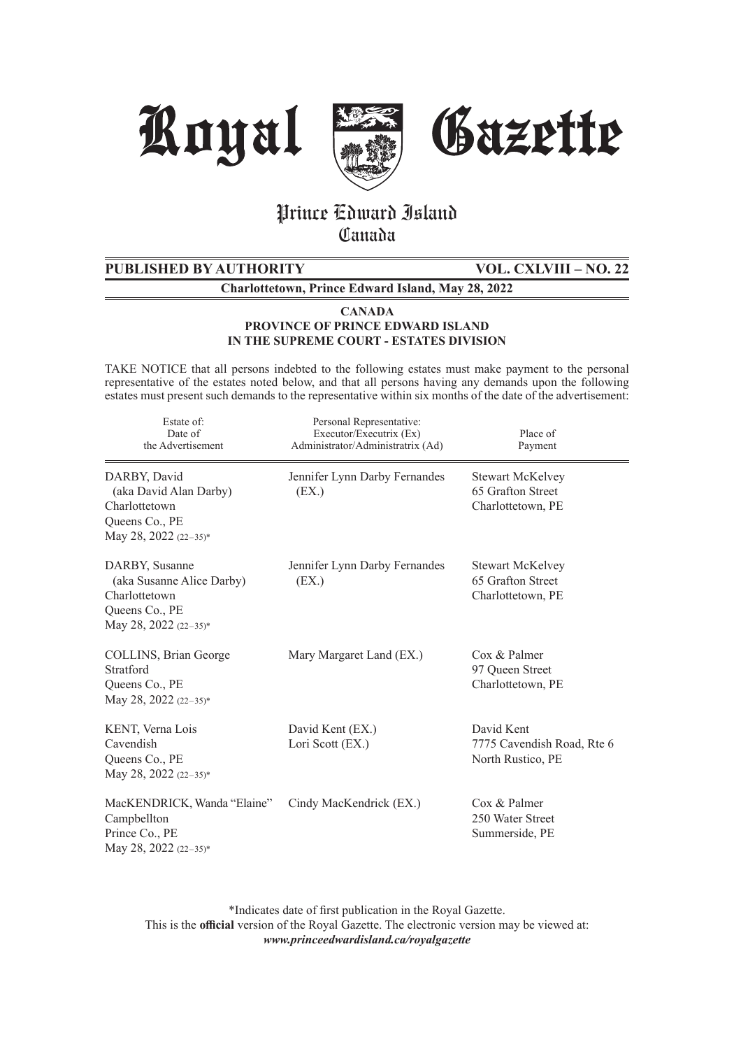





# Prince Edward Island **Canada**

**PUBLISHED BY AUTHORITY VOL. CXLVIII – NO. 22**

**Charlottetown, Prince Edward Island, May 28, 2022**

**CANADA PROVINCE OF PRINCE EDWARD ISLAND IN THE SUPREME COURT - ESTATES DIVISION**

TAKE NOTICE that all persons indebted to the following estates must make payment to the personal representative of the estates noted below, and that all persons having any demands upon the following estates must present such demands to the representative within six months of the date of the advertisement:

| Estate of:<br>Date of<br>the Advertisement                                                              | Personal Representative:<br>Executor/Executrix (Ex)<br>Administrator/Administratrix (Ad) | Place of<br>Payment                                               |
|---------------------------------------------------------------------------------------------------------|------------------------------------------------------------------------------------------|-------------------------------------------------------------------|
| DARBY, David<br>(aka David Alan Darby)<br>Charlottetown<br>Queens Co., PE<br>May 28, 2022 (22-35)*      | Jennifer Lynn Darby Fernandes<br>(EX.)                                                   | <b>Stewart McKelvey</b><br>65 Grafton Street<br>Charlottetown, PE |
| DARBY, Susanne<br>(aka Susanne Alice Darby)<br>Charlottetown<br>Queens Co., PE<br>May 28, 2022 (22-35)* | Jennifer Lynn Darby Fernandes<br>(EX.)                                                   | <b>Stewart McKelvey</b><br>65 Grafton Street<br>Charlottetown, PE |
| COLLINS, Brian George<br>Stratford<br>Queens Co., PE<br>May 28, 2022 (22-35)*                           | Mary Margaret Land (EX.)                                                                 | Cox & Palmer<br>97 Queen Street<br>Charlottetown, PE              |
| KENT, Verna Lois<br>Cavendish<br>Queens Co., PE<br>May 28, 2022 (22-35)*                                | David Kent (EX.)<br>Lori Scott (EX.)                                                     | David Kent<br>7775 Cavendish Road, Rte 6<br>North Rustico, PE     |
| MacKENDRICK, Wanda "Elaine"<br>Campbellton<br>Prince Co., PE<br>May 28, 2022 (22-35)*                   | Cindy MacKendrick (EX.)                                                                  | Cox & Palmer<br>250 Water Street<br>Summerside, PE                |

\*Indicates date of first publication in the Royal Gazette. This is the **official** version of the Royal Gazette. The electronic version may be viewed at: *www.princeedwardisland.ca/royalgazette*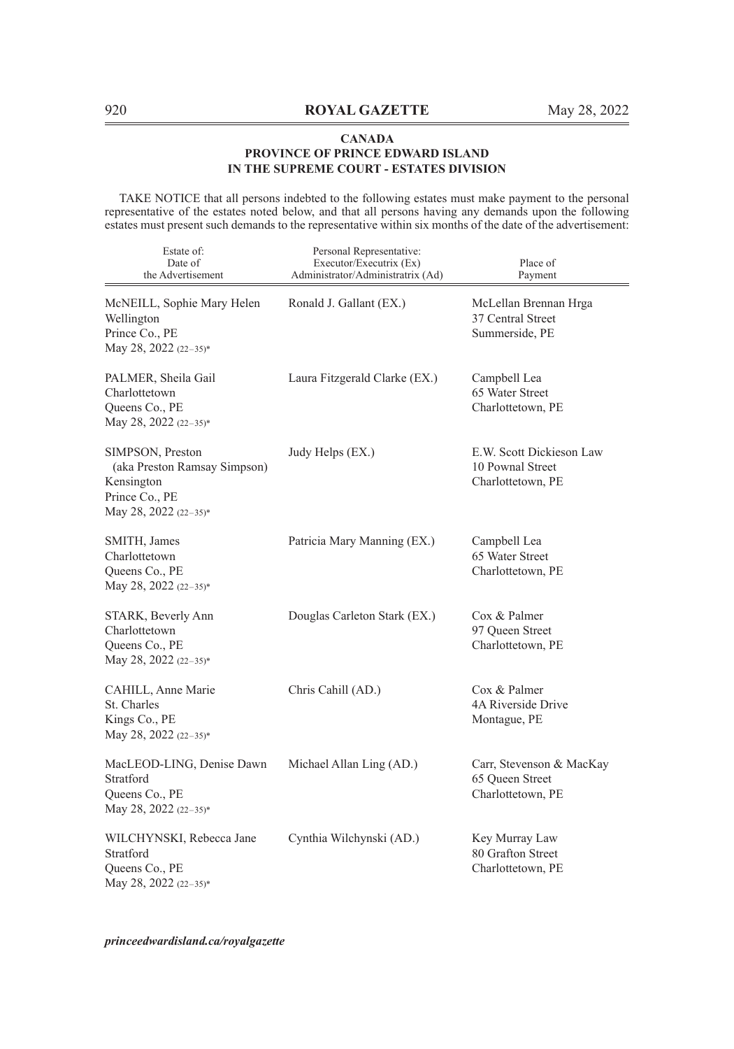TAKE NOTICE that all persons indebted to the following estates must make payment to the personal representative of the estates noted below, and that all persons having any demands upon the following estates must present such demands to the representative within six months of the date of the advertisement:

| Estate of:<br>Date of<br>the Advertisement                                                                | Personal Representative:<br>Executor/Executrix (Ex)<br>Administrator/Administratrix (Ad) | Place of<br>Payment                                               |
|-----------------------------------------------------------------------------------------------------------|------------------------------------------------------------------------------------------|-------------------------------------------------------------------|
| McNEILL, Sophie Mary Helen<br>Wellington<br>Prince Co., PE<br>May 28, 2022 (22-35)*                       | Ronald J. Gallant (EX.)                                                                  | McLellan Brennan Hrga<br>37 Central Street<br>Summerside, PE      |
| PALMER, Sheila Gail<br>Charlottetown<br>Queens Co., PE<br>May 28, 2022 (22-35)*                           | Laura Fitzgerald Clarke (EX.)                                                            | Campbell Lea<br>65 Water Street<br>Charlottetown, PE              |
| SIMPSON, Preston<br>(aka Preston Ramsay Simpson)<br>Kensington<br>Prince Co., PE<br>May 28, 2022 (22-35)* | Judy Helps (EX.)                                                                         | E.W. Scott Dickieson Law<br>10 Pownal Street<br>Charlottetown, PE |
| SMITH, James<br>Charlottetown<br>Queens Co., PE<br>May 28, 2022 (22-35)*                                  | Patricia Mary Manning (EX.)                                                              | Campbell Lea<br>65 Water Street<br>Charlottetown, PE              |
| STARK, Beverly Ann<br>Charlottetown<br>Queens Co., PE<br>May 28, 2022 (22-35)*                            | Douglas Carleton Stark (EX.)                                                             | Cox & Palmer<br>97 Queen Street<br>Charlottetown, PE              |
| CAHILL, Anne Marie<br>St. Charles<br>Kings Co., PE<br>May 28, 2022 (22-35)*                               | Chris Cahill (AD.)                                                                       | Cox & Palmer<br>4A Riverside Drive<br>Montague, PE                |
| MacLEOD-LING, Denise Dawn<br>Stratford<br>Queens Co., PE<br>May 28, 2022 (22-35)*                         | Michael Allan Ling (AD.)                                                                 | Carr, Stevenson & MacKay<br>65 Queen Street<br>Charlottetown, PE  |
| WILCHYNSKI, Rebecca Jane<br>Stratford<br>Queens Co., PE<br>May 28, 2022 (22-35)*                          | Cynthia Wilchynski (AD.)                                                                 | Key Murray Law<br>80 Grafton Street<br>Charlottetown, PE          |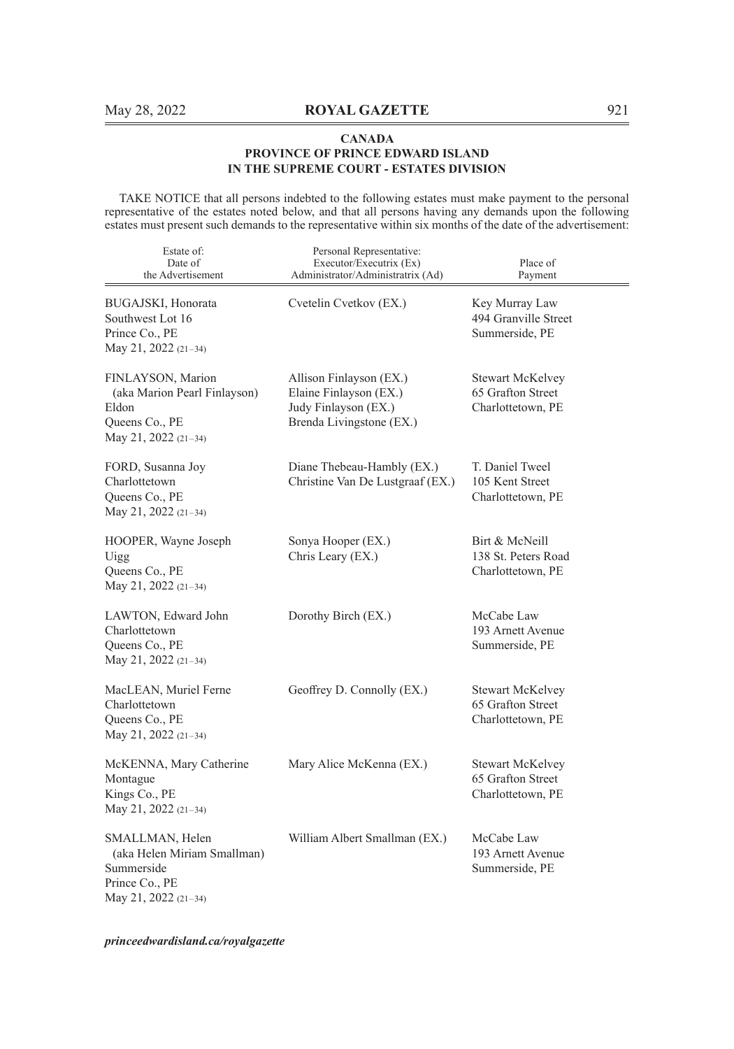TAKE NOTICE that all persons indebted to the following estates must make payment to the personal representative of the estates noted below, and that all persons having any demands upon the following estates must present such demands to the representative within six months of the date of the advertisement:

| Estate of:<br>Date of<br>the Advertisement                                                             | Personal Representative:<br>Executor/Executrix (Ex)<br>Administrator/Administratrix (Ad)              | Place of<br>Payment                                               |
|--------------------------------------------------------------------------------------------------------|-------------------------------------------------------------------------------------------------------|-------------------------------------------------------------------|
| BUGAJSKI, Honorata<br>Southwest Lot 16<br>Prince Co., PE<br>May 21, 2022 (21-34)                       | Cvetelin Cvetkov (EX.)                                                                                | Key Murray Law<br>494 Granville Street<br>Summerside, PE          |
| FINLAYSON, Marion<br>(aka Marion Pearl Finlayson)<br>Eldon<br>Queens Co., PE<br>May 21, 2022 (21-34)   | Allison Finlayson (EX.)<br>Elaine Finlayson (EX.)<br>Judy Finlayson (EX.)<br>Brenda Livingstone (EX.) | <b>Stewart McKelvey</b><br>65 Grafton Street<br>Charlottetown, PE |
| FORD, Susanna Joy<br>Charlottetown<br>Queens Co., PE<br>May 21, 2022 (21-34)                           | Diane Thebeau-Hambly (EX.)<br>Christine Van De Lustgraaf (EX.)                                        | T. Daniel Tweel<br>105 Kent Street<br>Charlottetown, PE           |
| HOOPER, Wayne Joseph<br>Uigg<br>Queens Co., PE<br>May 21, 2022 (21-34)                                 | Sonya Hooper (EX.)<br>Chris Leary (EX.)                                                               | Birt & McNeill<br>138 St. Peters Road<br>Charlottetown, PE        |
| LAWTON, Edward John<br>Charlottetown<br>Queens Co., PE<br>May 21, 2022 (21-34)                         | Dorothy Birch (EX.)                                                                                   | McCabe Law<br>193 Arnett Avenue<br>Summerside, PE                 |
| MacLEAN, Muriel Ferne<br>Charlottetown<br>Queens Co., PE<br>May 21, 2022 (21-34)                       | Geoffrey D. Connolly (EX.)                                                                            | <b>Stewart McKelvey</b><br>65 Grafton Street<br>Charlottetown, PE |
| McKENNA, Mary Catherine<br>Montague<br>Kings Co., PE<br>May 21, 2022 (21-34)                           | Mary Alice McKenna (EX.)                                                                              | Stewart McKelvey<br>65 Grafton Street<br>Charlottetown, PE        |
| SMALLMAN, Helen<br>(aka Helen Miriam Smallman)<br>Summerside<br>Prince Co., PE<br>May 21, 2022 (21-34) | William Albert Smallman (EX.)                                                                         | McCabe Law<br>193 Arnett Avenue<br>Summerside, PE                 |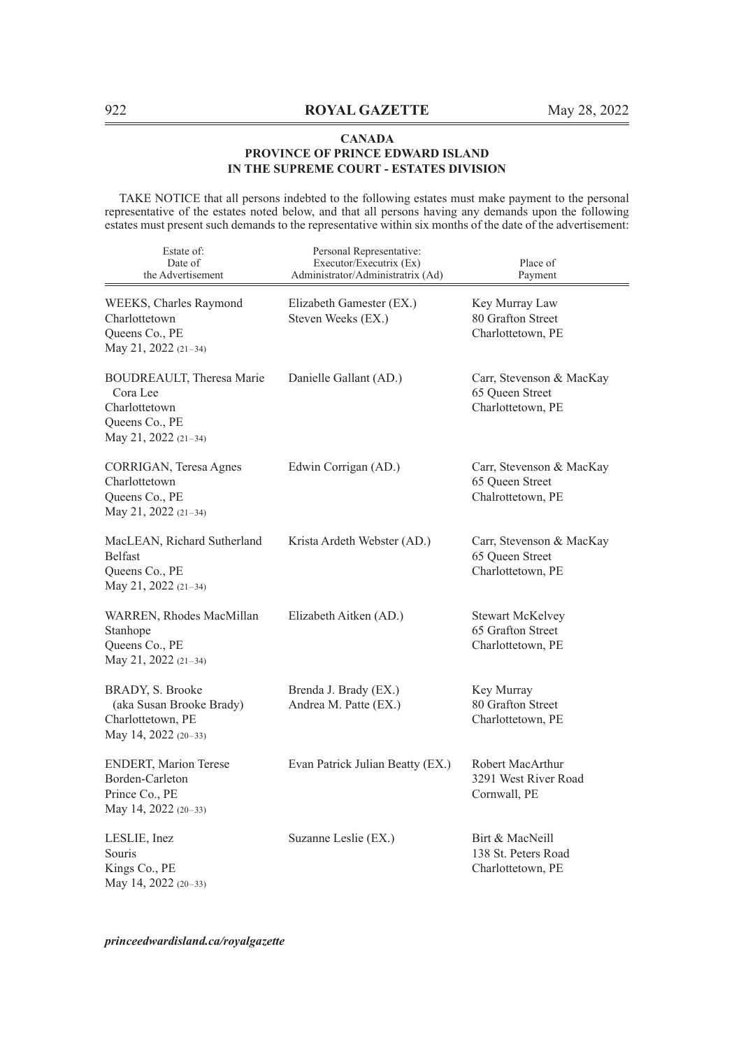TAKE NOTICE that all persons indebted to the following estates must make payment to the personal representative of the estates noted below, and that all persons having any demands upon the following estates must present such demands to the representative within six months of the date of the advertisement:

| Estate of:<br>Date of<br>the Advertisement                                                         | Personal Representative:<br>Executor/Executrix (Ex)<br>Administrator/Administratrix (Ad) | Place of<br>Payment                                               |
|----------------------------------------------------------------------------------------------------|------------------------------------------------------------------------------------------|-------------------------------------------------------------------|
| WEEKS, Charles Raymond<br>Charlottetown<br>Queens Co., PE<br>May 21, 2022 (21-34)                  | Elizabeth Gamester (EX.)<br>Steven Weeks (EX.)                                           | Key Murray Law<br>80 Grafton Street<br>Charlottetown, PE          |
| BOUDREAULT, Theresa Marie<br>Cora Lee<br>Charlottetown<br>Queens Co., PE<br>May 21, 2022 $(21-34)$ | Danielle Gallant (AD.)                                                                   | Carr, Stevenson & MacKay<br>65 Queen Street<br>Charlottetown, PE  |
| CORRIGAN, Teresa Agnes<br>Charlottetown<br>Queens Co., PE<br>May 21, 2022 (21-34)                  | Edwin Corrigan (AD.)                                                                     | Carr, Stevenson & MacKay<br>65 Queen Street<br>Chalrottetown, PE  |
| MacLEAN, Richard Sutherland<br><b>Belfast</b><br>Queens Co., PE<br>May 21, 2022 (21-34)            | Krista Ardeth Webster (AD.)                                                              | Carr, Stevenson & MacKay<br>65 Queen Street<br>Charlottetown, PE  |
| WARREN, Rhodes MacMillan<br>Stanhope<br>Queens Co., PE<br>May 21, 2022 (21-34)                     | Elizabeth Aitken (AD.)                                                                   | <b>Stewart McKelvey</b><br>65 Grafton Street<br>Charlottetown, PE |
| BRADY, S. Brooke<br>(aka Susan Brooke Brady)<br>Charlottetown, PE<br>May 14, 2022 (20-33)          | Brenda J. Brady (EX.)<br>Andrea M. Patte (EX.)                                           | Key Murray<br>80 Grafton Street<br>Charlottetown, PE              |
| <b>ENDERT, Marion Terese</b><br>Borden-Carleton<br>Prince Co., PE<br>May 14, 2022 (20-33)          | Evan Patrick Julian Beatty (EX.)                                                         | Robert MacArthur<br>3291 West River Road<br>Cornwall, PE          |
| LESLIE, Inez<br>Souris<br>Kings Co., PE<br>May 14, 2022 (20-33)                                    | Suzanne Leslie (EX.)                                                                     | Birt & MacNeill<br>138 St. Peters Road<br>Charlottetown, PE       |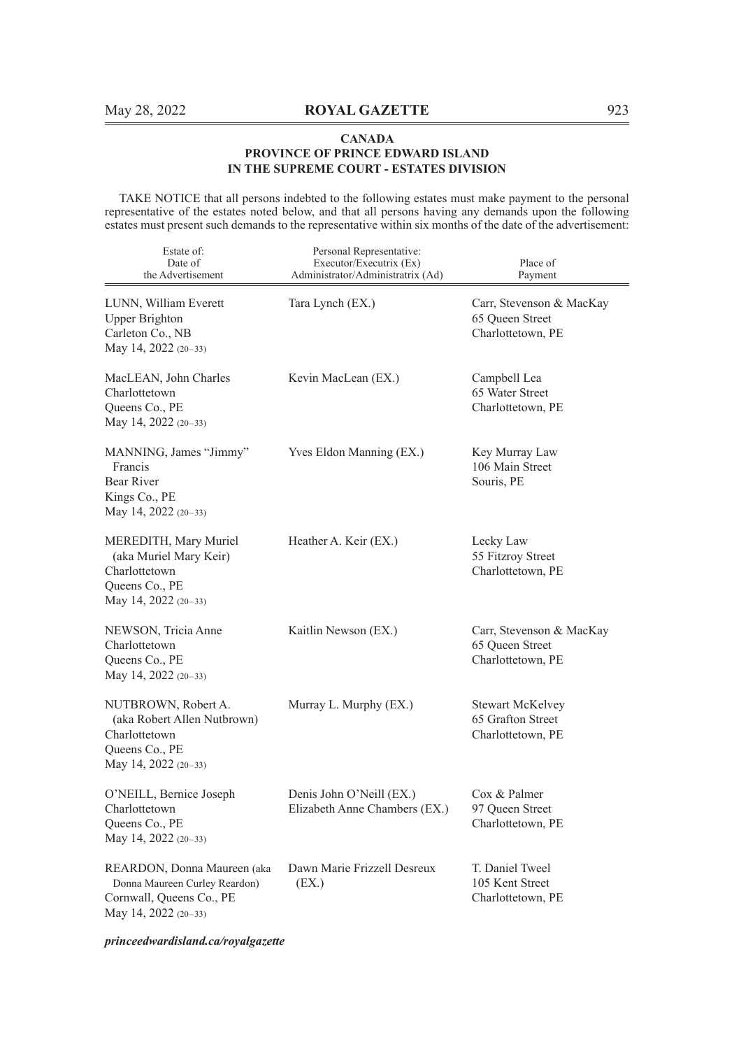TAKE NOTICE that all persons indebted to the following estates must make payment to the personal representative of the estates noted below, and that all persons having any demands upon the following estates must present such demands to the representative within six months of the date of the advertisement:

| Estate of:<br>Date of<br>the Advertisement                                                                         | Personal Representative:<br>Executor/Executrix (Ex)<br>Administrator/Administratrix (Ad) | Place of<br>Payment                                               |
|--------------------------------------------------------------------------------------------------------------------|------------------------------------------------------------------------------------------|-------------------------------------------------------------------|
| LUNN, William Everett<br><b>Upper Brighton</b><br>Carleton Co., NB<br>May 14, 2022 (20–33)                         | Tara Lynch (EX.)                                                                         | Carr, Stevenson & MacKay<br>65 Queen Street<br>Charlottetown, PE  |
| MacLEAN, John Charles<br>Charlottetown<br>Queens Co., PE<br>May 14, 2022 (20–33)                                   | Kevin MacLean (EX.)                                                                      | Campbell Lea<br>65 Water Street<br>Charlottetown, PE              |
| MANNING, James "Jimmy"<br>Francis<br>Bear River<br>Kings Co., PE<br>May 14, 2022 $(20-33)$                         | Yves Eldon Manning (EX.)                                                                 | Key Murray Law<br>106 Main Street<br>Souris, PE                   |
| MEREDITH, Mary Muriel<br>(aka Muriel Mary Keir)<br>Charlottetown<br>Queens Co., PE<br>May 14, 2022 $(20-33)$       | Heather A. Keir (EX.)                                                                    | Lecky Law<br>55 Fitzroy Street<br>Charlottetown, PE               |
| NEWSON, Tricia Anne<br>Charlottetown<br>Queens Co., PE<br>May 14, 2022 (20-33)                                     | Kaitlin Newson (EX.)                                                                     | Carr, Stevenson & MacKay<br>65 Oueen Street<br>Charlottetown, PE  |
| NUTBROWN, Robert A.<br>(aka Robert Allen Nutbrown)<br>Charlottetown<br>Queens Co., PE<br>May 14, 2022 (20–33)      | Murray L. Murphy (EX.)                                                                   | <b>Stewart McKelvey</b><br>65 Grafton Street<br>Charlottetown, PE |
| O'NEILL, Bernice Joseph<br>Charlottetown<br>Queens Co., PE<br>May 14, 2022 (20-33)                                 | Denis John O'Neill (EX.)<br>Elizabeth Anne Chambers (EX.)                                | Cox & Palmer<br>97 Queen Street<br>Charlottetown, PE              |
| REARDON, Donna Maureen (aka<br>Donna Maureen Curley Reardon)<br>Cornwall, Queens Co., PE<br>May 14, 2022 $(20-33)$ | Dawn Marie Frizzell Desreux<br>(EX.)                                                     | T. Daniel Tweel<br>105 Kent Street<br>Charlottetown, PE           |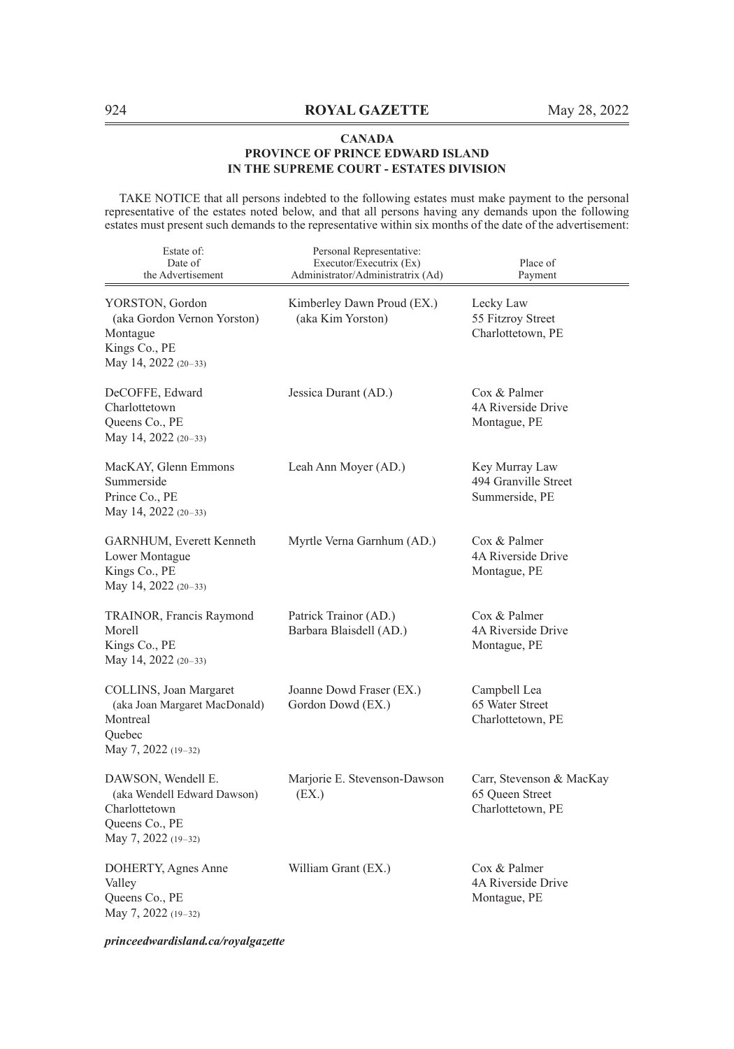TAKE NOTICE that all persons indebted to the following estates must make payment to the personal representative of the estates noted below, and that all persons having any demands upon the following estates must present such demands to the representative within six months of the date of the advertisement:

| Estate of:<br>Date of<br>the Advertisement                                                                  | Personal Representative:<br>Executor/Executrix (Ex)<br>Administrator/Administratrix (Ad) | Place of<br>Payment                                              |
|-------------------------------------------------------------------------------------------------------------|------------------------------------------------------------------------------------------|------------------------------------------------------------------|
| YORSTON, Gordon<br>(aka Gordon Vernon Yorston)<br>Montague<br>Kings Co., PE<br>May 14, 2022 (20-33)         | Kimberley Dawn Proud (EX.)<br>(aka Kim Yorston)                                          | Lecky Law<br>55 Fitzroy Street<br>Charlottetown, PE              |
| DeCOFFE, Edward<br>Charlottetown<br>Queens Co., PE<br>May 14, 2022 (20-33)                                  | Jessica Durant (AD.)                                                                     | Cox & Palmer<br>4A Riverside Drive<br>Montague, PE               |
| MacKAY, Glenn Emmons<br>Summerside<br>Prince Co., PE<br>May 14, 2022 (20-33)                                | Leah Ann Moyer (AD.)                                                                     | Key Murray Law<br>494 Granville Street<br>Summerside, PE         |
| GARNHUM, Everett Kenneth<br>Lower Montague<br>Kings Co., PE<br>May 14, 2022 (20-33)                         | Myrtle Verna Garnhum (AD.)                                                               | Cox & Palmer<br>4A Riverside Drive<br>Montague, PE               |
| TRAINOR, Francis Raymond<br>Morell<br>Kings Co., PE<br>May 14, 2022 (20-33)                                 | Patrick Trainor (AD.)<br>Barbara Blaisdell (AD.)                                         | Cox & Palmer<br>4A Riverside Drive<br>Montague, PE               |
| COLLINS, Joan Margaret<br>(aka Joan Margaret MacDonald)<br>Montreal<br>Quebec<br>May 7, 2022 (19-32)        | Joanne Dowd Fraser (EX.)<br>Gordon Dowd (EX.)                                            | Campbell Lea<br>65 Water Street<br>Charlottetown, PE             |
| DAWSON, Wendell E.<br>(aka Wendell Edward Dawson)<br>Charlottetown<br>Queens Co., PE<br>May 7, 2022 (19-32) | Marjorie E. Stevenson-Dawson<br>(EX.)                                                    | Carr, Stevenson & MacKay<br>65 Oueen Street<br>Charlottetown, PE |
| DOHERTY, Agnes Anne<br>Valley<br>Queens Co., PE<br>May 7, 2022 (19-32)                                      | William Grant (EX.)                                                                      | Cox & Palmer<br>4A Riverside Drive<br>Montague, PE               |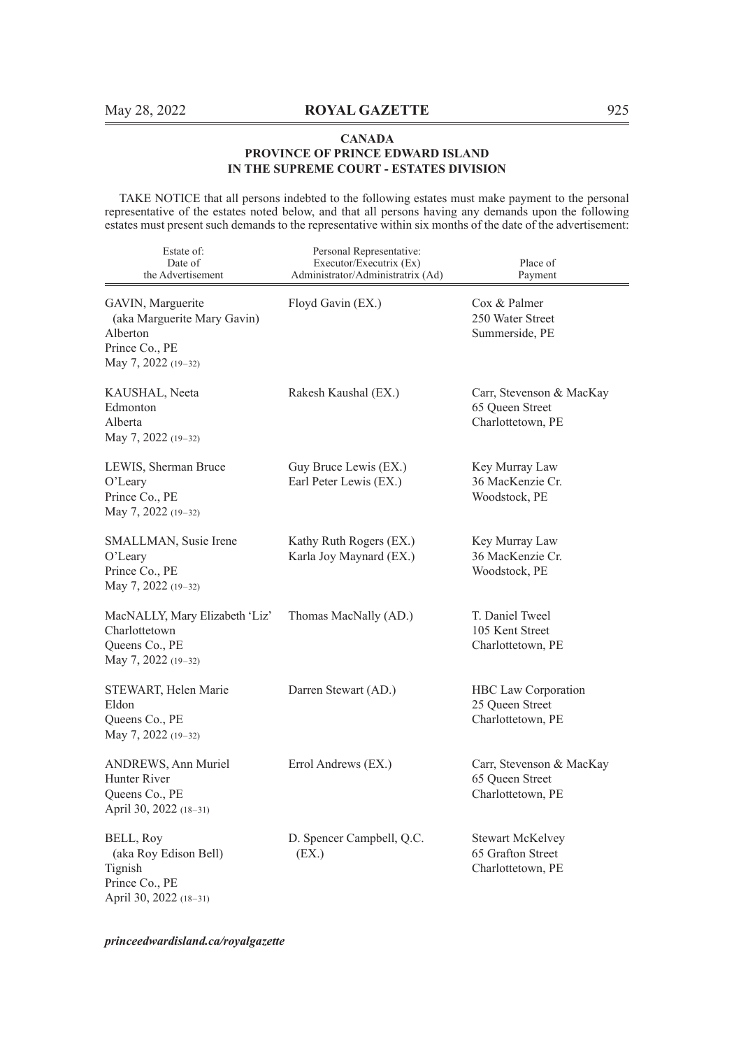TAKE NOTICE that all persons indebted to the following estates must make payment to the personal representative of the estates noted below, and that all persons having any demands upon the following estates must present such demands to the representative within six months of the date of the advertisement:

| Estate of:<br>Date of<br>the Advertisement                                                            | Personal Representative:<br>Executor/Executrix (Ex)<br>Administrator/Administratrix (Ad) | Place of<br>Payment                                               |
|-------------------------------------------------------------------------------------------------------|------------------------------------------------------------------------------------------|-------------------------------------------------------------------|
| GAVIN, Marguerite<br>(aka Marguerite Mary Gavin)<br>Alberton<br>Prince Co., PE<br>May 7, 2022 (19-32) | Floyd Gavin (EX.)                                                                        | Cox & Palmer<br>250 Water Street<br>Summerside, PE                |
| KAUSHAL, Neeta<br>Edmonton<br>Alberta<br>May 7, 2022 (19-32)                                          | Rakesh Kaushal (EX.)                                                                     | Carr, Stevenson & MacKay<br>65 Queen Street<br>Charlottetown, PE  |
| LEWIS, Sherman Bruce<br>O'Leary<br>Prince Co., PE<br>May 7, 2022 (19-32)                              | Guy Bruce Lewis (EX.)<br>Earl Peter Lewis (EX.)                                          | Key Murray Law<br>36 MacKenzie Cr.<br>Woodstock, PE               |
| SMALLMAN, Susie Irene<br>O'Leary<br>Prince Co., PE<br>May 7, 2022 (19-32)                             | Kathy Ruth Rogers (EX.)<br>Karla Joy Maynard (EX.)                                       | Key Murray Law<br>36 MacKenzie Cr.<br>Woodstock, PE               |
| MacNALLY, Mary Elizabeth 'Liz'<br>Charlottetown<br>Queens Co., PE<br>May 7, 2022 (19-32)              | Thomas MacNally (AD.)                                                                    | T. Daniel Tweel<br>105 Kent Street<br>Charlottetown, PE           |
| STEWART, Helen Marie<br>Eldon<br>Queens Co., PE<br>May 7, 2022 (19-32)                                | Darren Stewart (AD.)                                                                     | HBC Law Corporation<br>25 Queen Street<br>Charlottetown, PE       |
| <b>ANDREWS, Ann Muriel</b><br>Hunter River<br>Queens Co., PE<br>April 30, 2022 (18-31)                | Errol Andrews (EX.)                                                                      | Carr, Stevenson & MacKay<br>65 Queen Street<br>Charlottetown, PE  |
| BELL, Roy<br>(aka Roy Edison Bell)<br>Tignish<br>Prince Co., PE<br>April 30, 2022 (18-31)             | D. Spencer Campbell, Q.C.<br>(EX.)                                                       | <b>Stewart McKelvey</b><br>65 Grafton Street<br>Charlottetown, PE |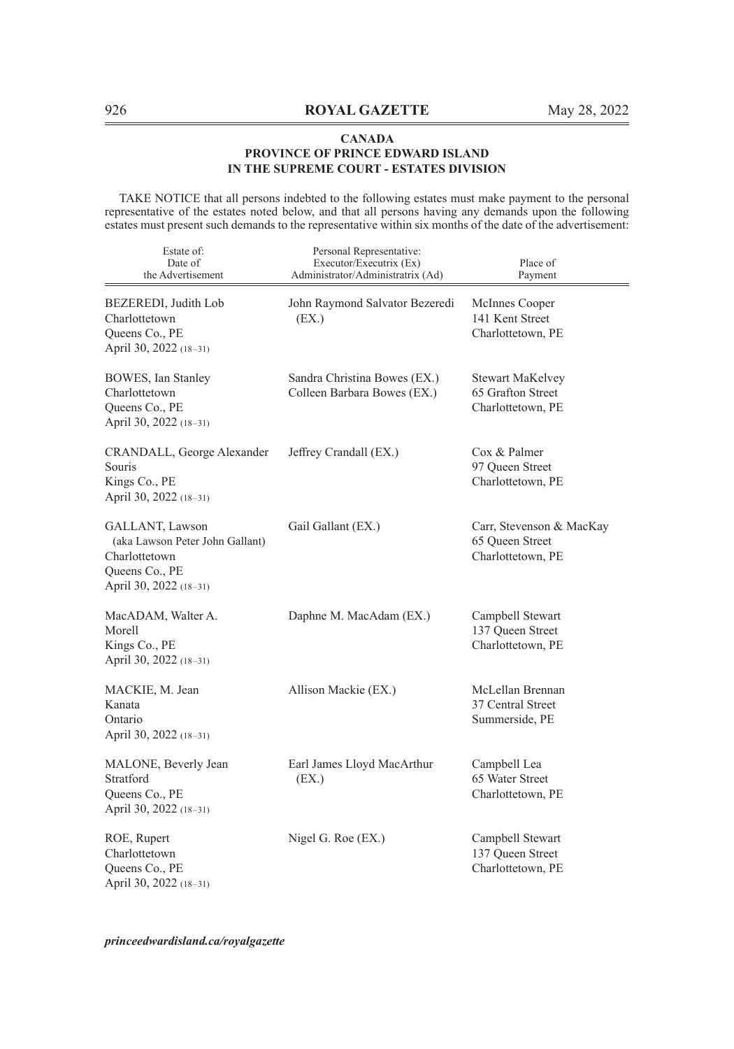TAKE NOTICE that all persons indebted to the following estates must make payment to the personal representative of the estates noted below, and that all persons having any demands upon the following estates must present such demands to the representative within six months of the date of the advertisement:

| Estate of:<br>Date of<br>the Advertisement                                                                      | Personal Representative:<br>Executor/Executrix (Ex)<br>Administrator/Administratrix (Ad) | Place of<br>Payment                                               |
|-----------------------------------------------------------------------------------------------------------------|------------------------------------------------------------------------------------------|-------------------------------------------------------------------|
| BEZEREDI, Judith Lob<br>Charlottetown<br>Queens Co., PE<br>April 30, 2022 (18-31)                               | John Raymond Salvator Bezeredi<br>(EX.)                                                  | McInnes Cooper<br>141 Kent Street<br>Charlottetown, PE            |
| <b>BOWES</b> , Ian Stanley<br>Charlottetown<br>Queens Co., PE<br>April 30, 2022 (18-31)                         | Sandra Christina Bowes (EX.)<br>Colleen Barbara Bowes (EX.)                              | <b>Stewart MaKelvey</b><br>65 Grafton Street<br>Charlottetown, PE |
| CRANDALL, George Alexander<br>Souris<br>Kings Co., PE<br>April 30, 2022 (18-31)                                 | Jeffrey Crandall (EX.)                                                                   | Cox & Palmer<br>97 Queen Street<br>Charlottetown, PE              |
| GALLANT, Lawson<br>(aka Lawson Peter John Gallant)<br>Charlottetown<br>Queens Co., PE<br>April 30, 2022 (18-31) | Gail Gallant (EX.)                                                                       | Carr, Stevenson & MacKay<br>65 Queen Street<br>Charlottetown, PE  |
| MacADAM, Walter A.<br>Morell<br>Kings Co., PE<br>April 30, 2022 (18-31)                                         | Daphne M. MacAdam (EX.)                                                                  | Campbell Stewart<br>137 Queen Street<br>Charlottetown, PE         |
| MACKIE, M. Jean<br>Kanata<br>Ontario<br>April 30, 2022 (18-31)                                                  | Allison Mackie (EX.)                                                                     | McLellan Brennan<br>37 Central Street<br>Summerside, PE           |
| MALONE, Beverly Jean<br>Stratford<br>Queens Co., PE<br>April 30, 2022 (18-31)                                   | Earl James Lloyd MacArthur<br>(EX.)                                                      | Campbell Lea<br>65 Water Street<br>Charlottetown, PE              |
| ROE, Rupert<br>Charlottetown<br>Queens Co., PE<br>April 30, 2022 (18-31)                                        | Nigel G. Roe (EX.)                                                                       | Campbell Stewart<br>137 Queen Street<br>Charlottetown, PE         |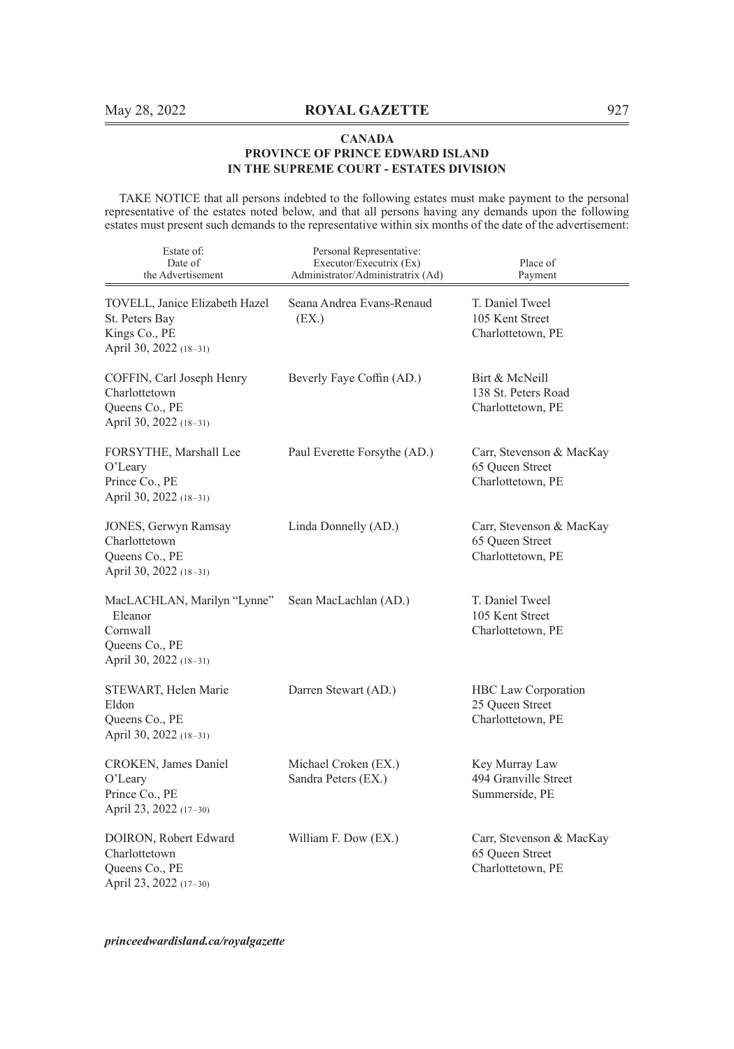TAKE NOTICE that all persons indebted to the following estates must make payment to the personal representative of the estates noted below, and that all persons having any demands upon the following estates must present such demands to the representative within six months of the date of the advertisement:

| Estate of:<br>Date of<br>the Advertisement                                                     | Personal Representative:<br>Executor/Executrix (Ex)<br>Administrator/Administratrix (Ad) | Place of<br>Payment                                              |
|------------------------------------------------------------------------------------------------|------------------------------------------------------------------------------------------|------------------------------------------------------------------|
| TOVELL, Janice Elizabeth Hazel<br>St. Peters Bay<br>Kings Co., PE<br>April 30, 2022 (18-31)    | Seana Andrea Evans-Renaud<br>(EX.)                                                       | T. Daniel Tweel<br>105 Kent Street<br>Charlottetown, PE          |
| COFFIN, Carl Joseph Henry<br>Charlottetown<br>Queens Co., PE<br>April 30, 2022 (18-31)         | Beverly Faye Coffin (AD.)                                                                | Birt & McNeill<br>138 St. Peters Road<br>Charlottetown, PE       |
| FORSYTHE, Marshall Lee<br>$O2$ Leary<br>Prince Co., PE<br>April 30, 2022 (18-31)               | Paul Everette Forsythe (AD.)                                                             | Carr, Stevenson & MacKay<br>65 Queen Street<br>Charlottetown, PE |
| JONES, Gerwyn Ramsay<br>Charlottetown<br>Queens Co., PE<br>April 30, 2022 (18-31)              | Linda Donnelly (AD.)                                                                     | Carr, Stevenson & MacKay<br>65 Oueen Street<br>Charlottetown, PE |
| MacLACHLAN, Marilyn "Lynne"<br>Eleanor<br>Cornwall<br>Queens Co., PE<br>April 30, 2022 (18-31) | Sean MacLachlan (AD.)                                                                    | T. Daniel Tweel<br>105 Kent Street<br>Charlottetown, PE          |
| STEWART, Helen Marie<br>Eldon<br>Queens Co., PE<br>April 30, 2022 (18-31)                      | Darren Stewart (AD.)                                                                     | HBC Law Corporation<br>25 Oueen Street<br>Charlottetown, PE      |
| CROKEN, James Daniel<br>O'Leary<br>Prince Co., PE<br>April 23, 2022 (17-30)                    | Michael Croken (EX.)<br>Sandra Peters (EX.)                                              | Key Murray Law<br>494 Granville Street<br>Summerside, PE         |
| DOIRON, Robert Edward<br>Charlottetown<br>Queens Co., PE<br>April 23, 2022 (17-30)             | William F. Dow (EX.)                                                                     | Carr, Stevenson & MacKay<br>65 Queen Street<br>Charlottetown, PE |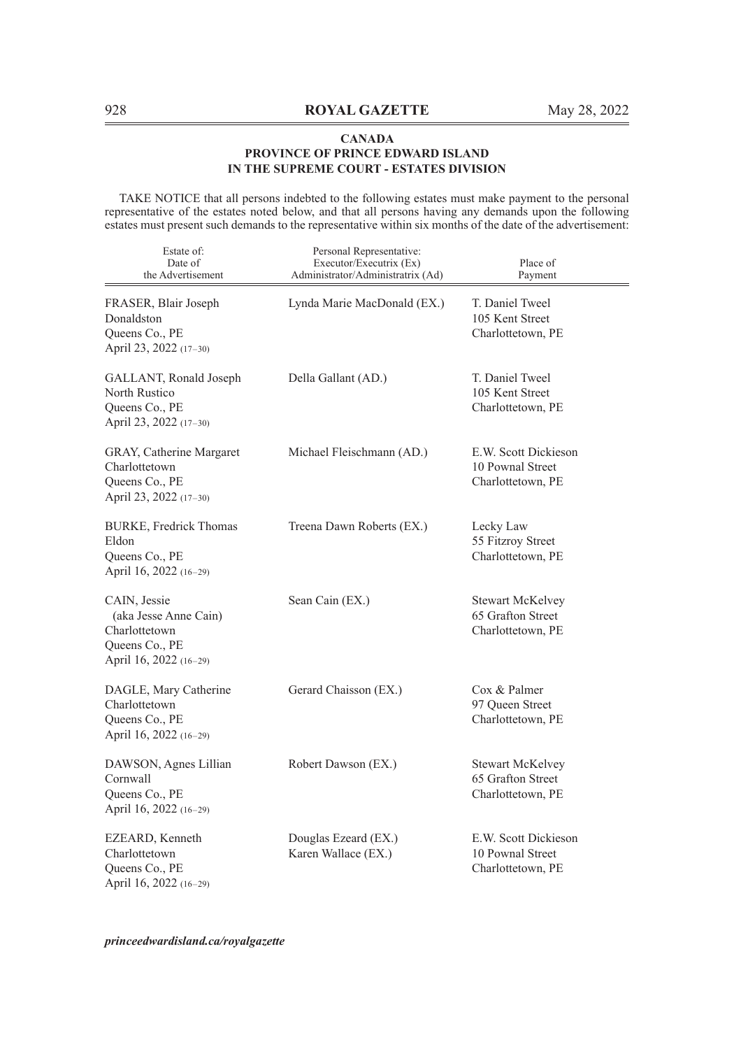TAKE NOTICE that all persons indebted to the following estates must make payment to the personal representative of the estates noted below, and that all persons having any demands upon the following estates must present such demands to the representative within six months of the date of the advertisement:

| Estate of:<br>Date of<br>the Advertisement                                                         | Personal Representative:<br>Executor/Executrix (Ex)<br>Administrator/Administratrix (Ad) | Place of<br>Payment                                               |
|----------------------------------------------------------------------------------------------------|------------------------------------------------------------------------------------------|-------------------------------------------------------------------|
| FRASER, Blair Joseph<br>Donaldston<br>Queens Co., PE<br>April 23, 2022 (17-30)                     | Lynda Marie MacDonald (EX.)                                                              | T. Daniel Tweel<br>105 Kent Street<br>Charlottetown, PE           |
| GALLANT, Ronald Joseph<br>North Rustico<br>Queens Co., PE<br>April 23, 2022 (17-30)                | Della Gallant (AD.)                                                                      | T. Daniel Tweel<br>105 Kent Street<br>Charlottetown, PE           |
| GRAY, Catherine Margaret<br>Charlottetown<br>Queens Co., PE<br>April 23, 2022 (17-30)              | Michael Fleischmann (AD.)                                                                | E.W. Scott Dickieson<br>10 Pownal Street<br>Charlottetown, PE     |
| <b>BURKE, Fredrick Thomas</b><br>Eldon<br>Queens Co., PE<br>April 16, 2022 (16-29)                 | Treena Dawn Roberts (EX.)                                                                | Lecky Law<br>55 Fitzroy Street<br>Charlottetown, PE               |
| CAIN, Jessie<br>(aka Jesse Anne Cain)<br>Charlottetown<br>Queens Co., PE<br>April 16, 2022 (16-29) | Sean Cain (EX.)                                                                          | <b>Stewart McKelvey</b><br>65 Grafton Street<br>Charlottetown, PE |
| DAGLE, Mary Catherine<br>Charlottetown<br>Queens Co., PE<br>April 16, 2022 (16-29)                 | Gerard Chaisson (EX.)                                                                    | Cox & Palmer<br>97 Queen Street<br>Charlottetown, PE              |
| DAWSON, Agnes Lillian<br>Cornwall<br>Queens Co., PE<br>April 16, 2022 (16-29)                      | Robert Dawson (EX.)                                                                      | Stewart McKelvey<br>65 Grafton Street<br>Charlottetown, PE        |
| EZEARD, Kenneth<br>Charlottetown<br>Queens Co., PE<br>April 16, 2022 (16-29)                       | Douglas Ezeard (EX.)<br>Karen Wallace (EX.)                                              | E.W. Scott Dickieson<br>10 Pownal Street<br>Charlottetown, PE     |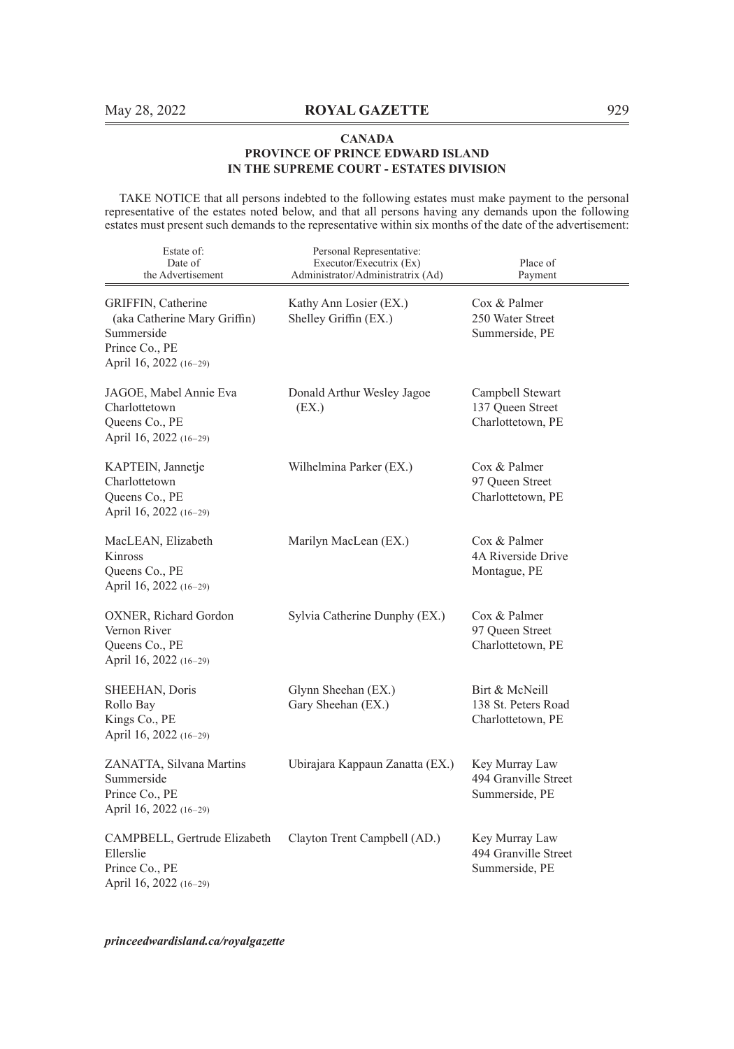TAKE NOTICE that all persons indebted to the following estates must make payment to the personal representative of the estates noted below, and that all persons having any demands upon the following estates must present such demands to the representative within six months of the date of the advertisement:

| Estate of:<br>Date of<br>the Advertisement                                                                   | Personal Representative:<br>Executor/Executrix (Ex)<br>Administrator/Administratrix (Ad) | Place of<br>Payment                                        |
|--------------------------------------------------------------------------------------------------------------|------------------------------------------------------------------------------------------|------------------------------------------------------------|
| GRIFFIN, Catherine<br>(aka Catherine Mary Griffin)<br>Summerside<br>Prince Co., PE<br>April 16, 2022 (16-29) | Kathy Ann Losier (EX.)<br>Shelley Griffin (EX.)                                          | Cox & Palmer<br>250 Water Street<br>Summerside, PE         |
| JAGOE, Mabel Annie Eva<br>Charlottetown<br>Queens Co., PE<br>April 16, 2022 (16-29)                          | Donald Arthur Wesley Jagoe<br>(EX.)                                                      | Campbell Stewart<br>137 Queen Street<br>Charlottetown, PE  |
| KAPTEIN, Jannetje<br>Charlottetown<br>Queens Co., PE<br>April 16, 2022 (16-29)                               | Wilhelmina Parker (EX.)                                                                  | Cox & Palmer<br>97 Queen Street<br>Charlottetown, PE       |
| MacLEAN, Elizabeth<br>Kinross<br>Queens Co., PE<br>April 16, 2022 (16-29)                                    | Marilyn MacLean (EX.)                                                                    | Cox & Palmer<br>4A Riverside Drive<br>Montague, PE         |
| OXNER, Richard Gordon<br>Vernon River<br>Queens Co., PE<br>April 16, 2022 (16-29)                            | Sylvia Catherine Dunphy (EX.)                                                            | Cox & Palmer<br>97 Oueen Street<br>Charlottetown, PE       |
| SHEEHAN, Doris<br>Rollo Bay<br>Kings Co., PE<br>April 16, 2022 (16-29)                                       | Glynn Sheehan (EX.)<br>Gary Sheehan (EX.)                                                | Birt & McNeill<br>138 St. Peters Road<br>Charlottetown, PE |
| ZANATTA, Silvana Martins<br>Summerside<br>Prince Co., PE<br>April 16, 2022 (16-29)                           | Ubirajara Kappaun Zanatta (EX.)                                                          | Key Murray Law<br>494 Granville Street<br>Summerside, PE   |
| CAMPBELL, Gertrude Elizabeth<br>Ellerslie<br>Prince Co., PE<br>April 16, 2022 (16-29)                        | Clayton Trent Campbell (AD.)                                                             | Key Murray Law<br>494 Granville Street<br>Summerside, PE   |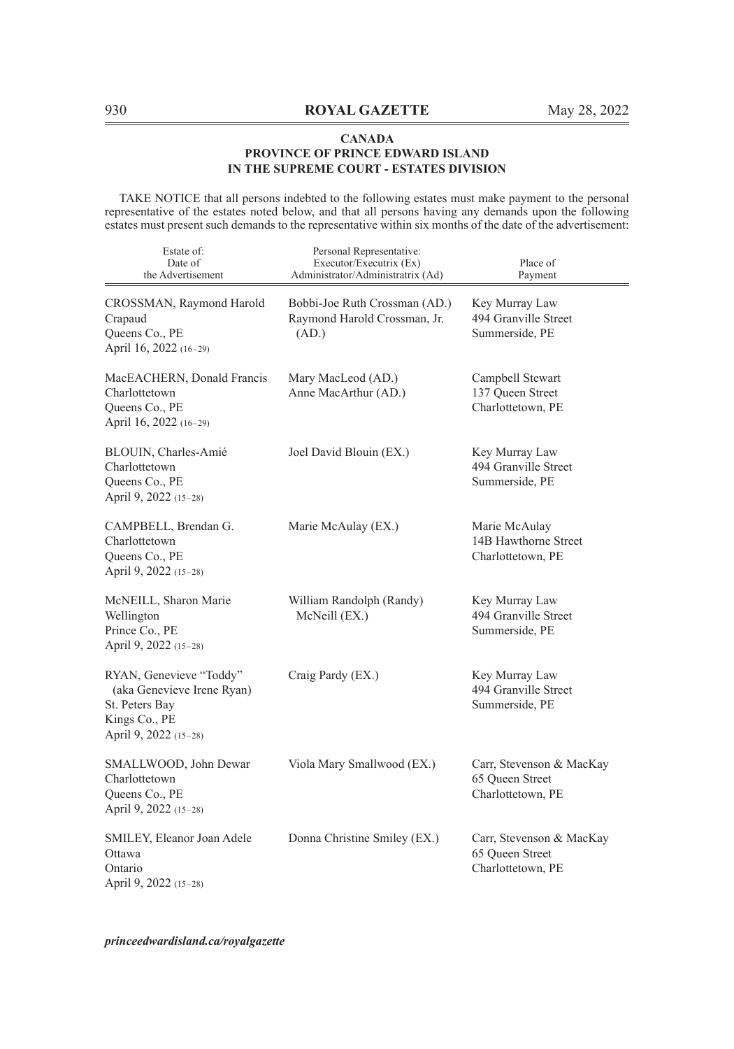TAKE NOTICE that all persons indebted to the following estates must make payment to the personal representative of the estates noted below, and that all persons having any demands upon the following estates must present such demands to the representative within six months of the date of the advertisement:

| Estate of:<br>Date of<br>the Advertisement                                                                        | Personal Representative:<br>Executor/Executrix (Ex)<br>Administrator/Administratrix (Ad) | Place of<br>Payment                                              |
|-------------------------------------------------------------------------------------------------------------------|------------------------------------------------------------------------------------------|------------------------------------------------------------------|
| CROSSMAN, Raymond Harold<br>Crapaud<br>Queens Co., PE<br>April 16, 2022 (16-29)                                   | Bobbi-Joe Ruth Crossman (AD.)<br>Raymond Harold Crossman, Jr.<br>(AD.)                   | Key Murray Law<br>494 Granville Street<br>Summerside, PE         |
| MacEACHERN, Donald Francis<br>Charlottetown<br>Queens Co., PE<br>April 16, 2022 (16-29)                           | Mary MacLeod (AD.)<br>Anne MacArthur (AD.)                                               | Campbell Stewart<br>137 Queen Street<br>Charlottetown, PE        |
| BLOUIN, Charles-Amié<br>Charlottetown<br>Queens Co., PE<br>April 9, 2022 (15-28)                                  | Joel David Blouin (EX.)                                                                  | Key Murray Law<br>494 Granville Street<br>Summerside, PE         |
| CAMPBELL, Brendan G.<br>Charlottetown<br>Queens Co., PE<br>April 9, 2022 (15-28)                                  | Marie McAulay (EX.)                                                                      | Marie McAulay<br>14B Hawthorne Street<br>Charlottetown, PE       |
| McNEILL, Sharon Marie<br>Wellington<br>Prince Co., PE<br>April 9, 2022 (15-28)                                    | William Randolph (Randy)<br>McNeill (EX.)                                                | Key Murray Law<br>494 Granville Street<br>Summerside, PE         |
| RYAN, Genevieve "Toddy"<br>(aka Genevieve Irene Ryan)<br>St. Peters Bay<br>Kings Co., PE<br>April 9, 2022 (15-28) | Craig Pardy (EX.)                                                                        | Key Murray Law<br>494 Granville Street<br>Summerside, PE         |
| SMALLWOOD, John Dewar<br>Charlottetown<br>Queens Co., PE<br>April 9, 2022 (15-28)                                 | Viola Mary Smallwood (EX.)                                                               | Carr, Stevenson & MacKay<br>65 Queen Street<br>Charlottetown, PE |
| SMILEY, Eleanor Joan Adele<br>Ottawa<br>Ontario<br>April 9, 2022 (15-28)                                          | Donna Christine Smiley (EX.)                                                             | Carr, Stevenson & MacKay<br>65 Queen Street<br>Charlottetown, PE |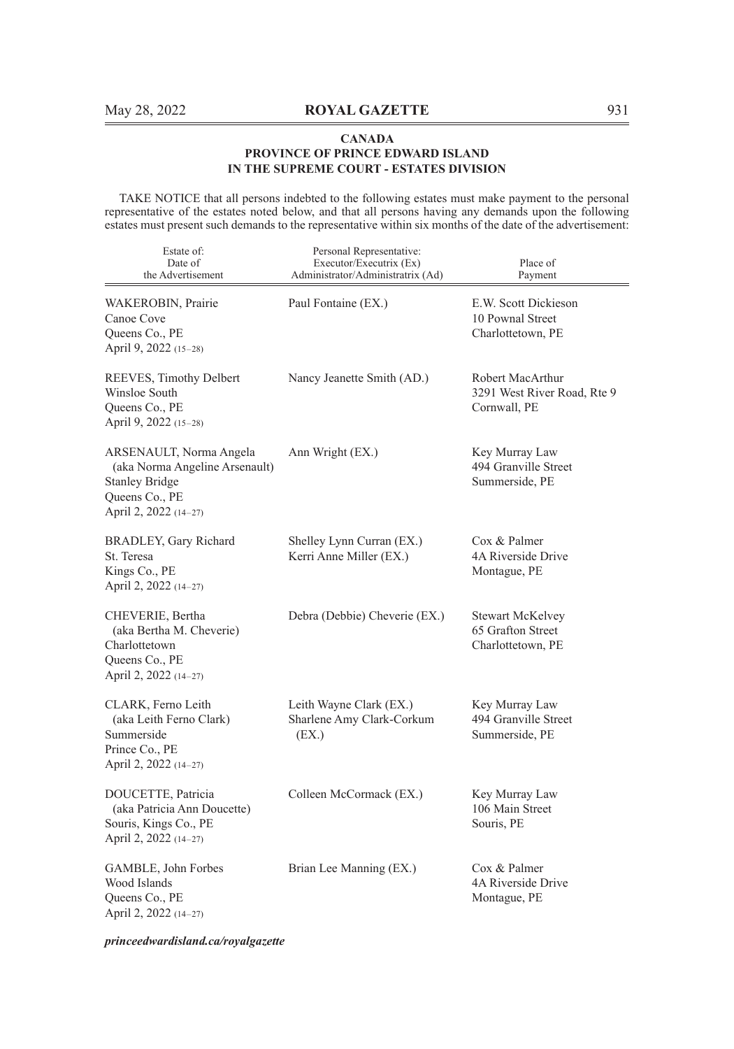TAKE NOTICE that all persons indebted to the following estates must make payment to the personal representative of the estates noted below, and that all persons having any demands upon the following estates must present such demands to the representative within six months of the date of the advertisement:

| Estate of:<br>Date of<br>the Advertisement                                                                                    | Personal Representative:<br>Executor/Executrix (Ex)<br>Administrator/Administratrix (Ad) | Place of<br>Payment                                             |
|-------------------------------------------------------------------------------------------------------------------------------|------------------------------------------------------------------------------------------|-----------------------------------------------------------------|
| WAKEROBIN, Prairie<br>Canoe Cove<br>Queens Co., PE<br>April 9, 2022 (15–28)                                                   | Paul Fontaine (EX.)                                                                      | E.W. Scott Dickieson<br>10 Pownal Street<br>Charlottetown, PE   |
| REEVES, Timothy Delbert<br>Winsloe South<br>Queens Co., PE<br>April 9, 2022 (15-28)                                           | Nancy Jeanette Smith (AD.)                                                               | Robert MacArthur<br>3291 West River Road, Rte 9<br>Cornwall, PE |
| ARSENAULT, Norma Angela<br>(aka Norma Angeline Arsenault)<br><b>Stanley Bridge</b><br>Queens Co., PE<br>April 2, 2022 (14-27) | Ann Wright (EX.)                                                                         | Key Murray Law<br>494 Granville Street<br>Summerside, PE        |
| BRADLEY, Gary Richard<br>St. Teresa<br>Kings Co., PE<br>April 2, 2022 (14-27)                                                 | Shelley Lynn Curran (EX.)<br>Kerri Anne Miller (EX.)                                     | Cox & Palmer<br>4A Riverside Drive<br>Montague, PE              |
| CHEVERIE, Bertha<br>(aka Bertha M. Cheverie)<br>Charlottetown<br>Queens Co., PE<br>April 2, 2022 (14-27)                      | Debra (Debbie) Cheverie (EX.)                                                            | Stewart McKelvey<br>65 Grafton Street<br>Charlottetown, PE      |
| CLARK, Ferno Leith<br>(aka Leith Ferno Clark)<br>Summerside<br>Prince Co., PE<br>April 2, 2022 (14-27)                        | Leith Wayne Clark (EX.)<br>Sharlene Amy Clark-Corkum<br>(EX.)                            | Key Murray Law<br>494 Granville Street<br>Summerside, PE        |
| DOUCETTE, Patricia<br>(aka Patricia Ann Doucette)<br>Souris, Kings Co., PE<br>April 2, 2022 (14-27)                           | Colleen McCormack (EX.)                                                                  | Key Murray Law<br>106 Main Street<br>Souris, PE                 |
| GAMBLE, John Forbes<br>Wood Islands<br>Queens Co., PE<br>April 2, 2022 (14-27)                                                | Brian Lee Manning (EX.)                                                                  | Cox & Palmer<br>4A Riverside Drive<br>Montague, PE              |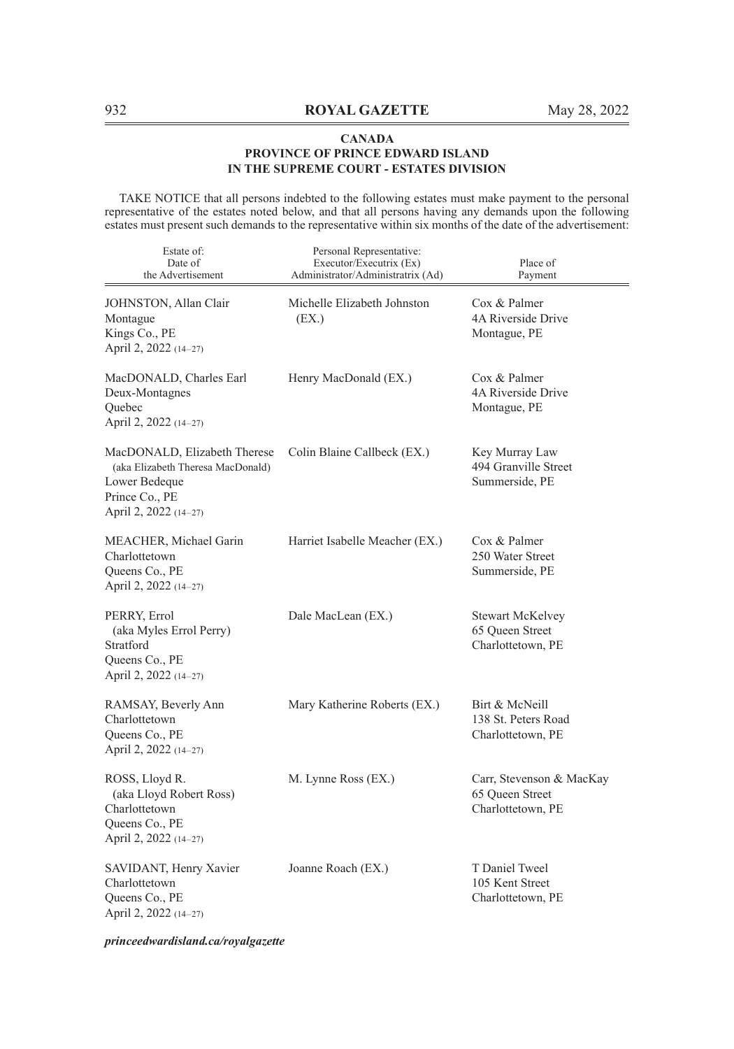TAKE NOTICE that all persons indebted to the following estates must make payment to the personal representative of the estates noted below, and that all persons having any demands upon the following estates must present such demands to the representative within six months of the date of the advertisement:

| Estate of:<br>Date of<br>the Advertisement                                                                                    | Personal Representative:<br>Executor/Executrix (Ex)<br>Administrator/Administratrix (Ad) | Place of<br>Payment                                              |
|-------------------------------------------------------------------------------------------------------------------------------|------------------------------------------------------------------------------------------|------------------------------------------------------------------|
| JOHNSTON, Allan Clair<br>Montague<br>Kings Co., PE<br>April 2, 2022 (14–27)                                                   | Michelle Elizabeth Johnston<br>(EX.)                                                     | Cox & Palmer<br>4A Riverside Drive<br>Montague, PE               |
| MacDONALD, Charles Earl<br>Deux-Montagnes<br>Quebec<br>April 2, 2022 (14–27)                                                  | Henry MacDonald (EX.)                                                                    | Cox & Palmer<br>4A Riverside Drive<br>Montague, PE               |
| MacDONALD, Elizabeth Therese<br>(aka Elizabeth Theresa MacDonald)<br>Lower Bedeque<br>Prince Co., PE<br>April 2, 2022 (14–27) | Colin Blaine Callbeck (EX.)                                                              | Key Murray Law<br>494 Granville Street<br>Summerside, PE         |
| MEACHER, Michael Garin<br>Charlottetown<br>Queens Co., PE<br>April 2, 2022 (14-27)                                            | Harriet Isabelle Meacher (EX.)                                                           | Cox & Palmer<br>250 Water Street<br>Summerside, PE               |
| PERRY, Errol<br>(aka Myles Errol Perry)<br>Stratford<br>Queens Co., PE<br>April 2, 2022 (14–27)                               | Dale MacLean (EX.)                                                                       | <b>Stewart McKelvey</b><br>65 Queen Street<br>Charlottetown, PE  |
| RAMSAY, Beverly Ann<br>Charlottetown<br>Queens Co., PE<br>April 2, 2022 (14-27)                                               | Mary Katherine Roberts (EX.)                                                             | Birt & McNeill<br>138 St. Peters Road<br>Charlottetown, PE       |
| ROSS, Lloyd R.<br>(aka Lloyd Robert Ross)<br>Charlottetown<br>Queens Co., PE<br>April 2, 2022 (14–27)                         | M. Lynne Ross (EX.)                                                                      | Carr, Stevenson & MacKay<br>65 Oueen Street<br>Charlottetown, PE |
| SAVIDANT, Henry Xavier<br>Charlottetown<br>Queens Co., PE<br>April 2, 2022 (14-27)                                            | Joanne Roach (EX.)                                                                       | T Daniel Tweel<br>105 Kent Street<br>Charlottetown, PE           |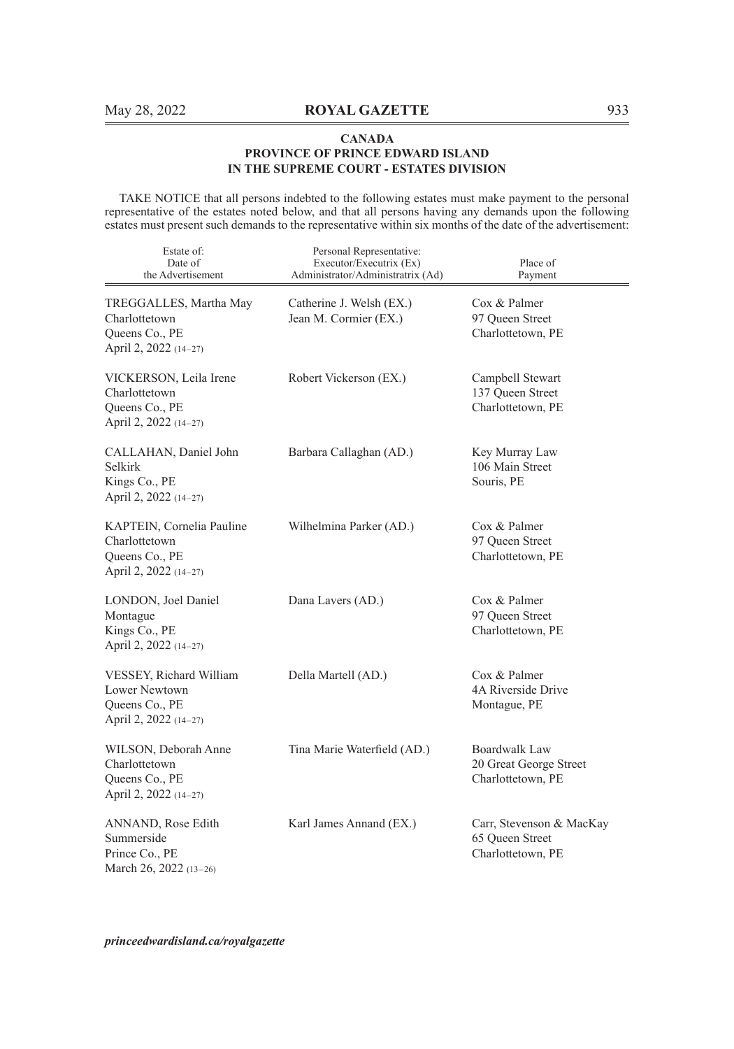TAKE NOTICE that all persons indebted to the following estates must make payment to the personal representative of the estates noted below, and that all persons having any demands upon the following estates must present such demands to the representative within six months of the date of the advertisement:

| Estate of:<br>Date of<br>the Advertisement                                            | Personal Representative:<br>Executor/Executrix (Ex)<br>Administrator/Administratrix (Ad) | Place of<br>Payment                                              |
|---------------------------------------------------------------------------------------|------------------------------------------------------------------------------------------|------------------------------------------------------------------|
| TREGGALLES, Martha May<br>Charlottetown<br>Queens Co., PE<br>April 2, 2022 (14-27)    | Catherine J. Welsh (EX.)<br>Jean M. Cormier (EX.)                                        | Cox & Palmer<br>97 Queen Street<br>Charlottetown, PE             |
| VICKERSON, Leila Irene<br>Charlottetown<br>Queens Co., PE<br>April 2, 2022 (14-27)    | Robert Vickerson (EX.)                                                                   | Campbell Stewart<br>137 Queen Street<br>Charlottetown, PE        |
| CALLAHAN, Daniel John<br>Selkirk<br>Kings Co., PE<br>April 2, 2022 (14-27)            | Barbara Callaghan (AD.)                                                                  | Key Murray Law<br>106 Main Street<br>Souris, PE                  |
| KAPTEIN, Cornelia Pauline<br>Charlottetown<br>Queens Co., PE<br>April 2, 2022 (14-27) | Wilhelmina Parker (AD.)                                                                  | Cox & Palmer<br>97 Oueen Street<br>Charlottetown, PE             |
| LONDON, Joel Daniel<br>Montague<br>Kings Co., PE<br>April 2, 2022 (14-27)             | Dana Lavers (AD.)                                                                        | Cox & Palmer<br>97 Queen Street<br>Charlottetown, PE             |
| VESSEY, Richard William<br>Lower Newtown<br>Queens Co., PE<br>April 2, 2022 (14-27)   | Della Martell (AD.)                                                                      | Cox & Palmer<br>4A Riverside Drive<br>Montague, PE               |
| WILSON, Deborah Anne<br>Charlottetown<br>Queens Co., PE<br>April 2, 2022 (14-27)      | Tina Marie Waterfield (AD.)                                                              | Boardwalk Law<br>20 Great George Street<br>Charlottetown, PE     |
| ANNAND, Rose Edith<br>Summerside<br>Prince Co., PE<br>March 26, 2022 (13-26)          | Karl James Annand (EX.)                                                                  | Carr, Stevenson & MacKay<br>65 Queen Street<br>Charlottetown, PE |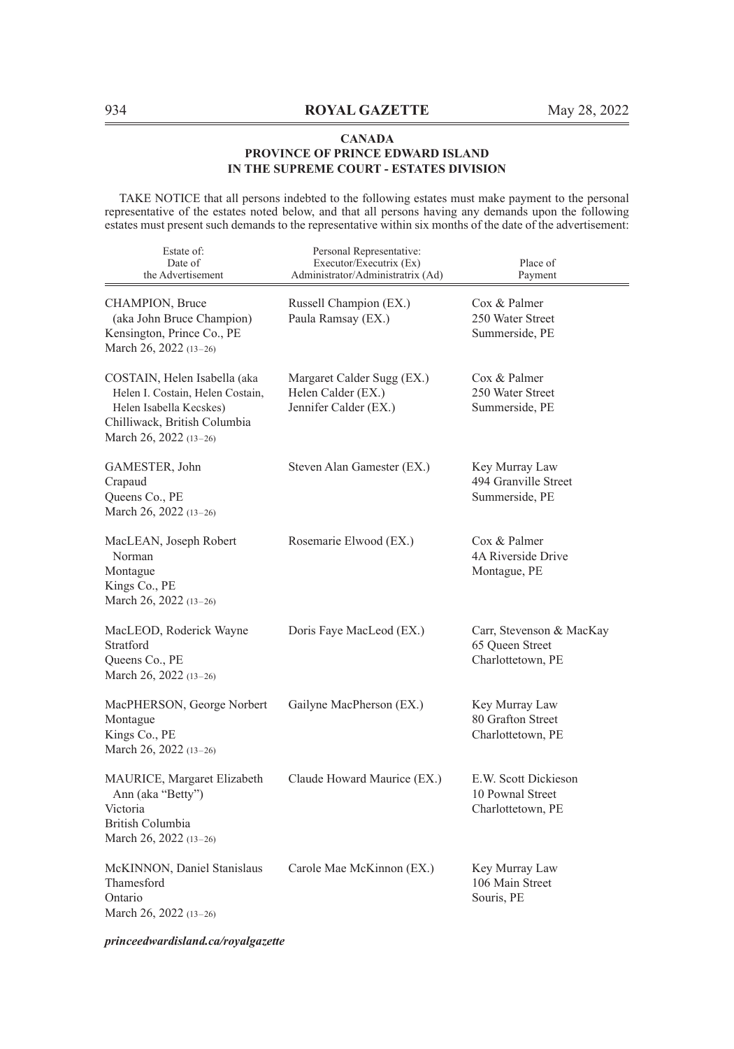TAKE NOTICE that all persons indebted to the following estates must make payment to the personal representative of the estates noted below, and that all persons having any demands upon the following estates must present such demands to the representative within six months of the date of the advertisement:

| Estate of:<br>Date of<br>the Advertisement                                                                                                            | Personal Representative:<br>Executor/Executrix (Ex)<br>Administrator/Administratrix (Ad) | Place of<br>Payment                                              |
|-------------------------------------------------------------------------------------------------------------------------------------------------------|------------------------------------------------------------------------------------------|------------------------------------------------------------------|
| CHAMPION, Bruce<br>(aka John Bruce Champion)<br>Kensington, Prince Co., PE<br>March 26, 2022 $(13-26)$                                                | Russell Champion (EX.)<br>Paula Ramsay (EX.)                                             | Cox & Palmer<br>250 Water Street<br>Summerside, PE               |
| COSTAIN, Helen Isabella (aka<br>Helen I. Costain, Helen Costain,<br>Helen Isabella Kecskes)<br>Chilliwack, British Columbia<br>March 26, 2022 (13-26) | Margaret Calder Sugg (EX.)<br>Helen Calder (EX.)<br>Jennifer Calder (EX.)                | Cox & Palmer<br>250 Water Street<br>Summerside, PE               |
| GAMESTER, John<br>Crapaud<br>Queens Co., PE<br>March 26, 2022 (13-26)                                                                                 | Steven Alan Gamester (EX.)                                                               | Key Murray Law<br>494 Granville Street<br>Summerside, PE         |
| MacLEAN, Joseph Robert<br>Norman<br>Montague<br>Kings Co., PE<br>March 26, 2022 (13-26)                                                               | Rosemarie Elwood (EX.)                                                                   | Cox & Palmer<br>4A Riverside Drive<br>Montague, PE               |
| MacLEOD, Roderick Wayne<br>Stratford<br>Queens Co., PE<br>March 26, 2022 (13-26)                                                                      | Doris Faye MacLeod (EX.)                                                                 | Carr, Stevenson & MacKay<br>65 Queen Street<br>Charlottetown, PE |
| MacPHERSON, George Norbert<br>Montague<br>Kings Co., PE<br>March 26, 2022 (13-26)                                                                     | Gailyne MacPherson (EX.)                                                                 | Key Murray Law<br>80 Grafton Street<br>Charlottetown, PE         |
| <b>MAURICE, Margaret Elizabeth</b><br>Ann (aka "Betty")<br>Victoria<br>British Columbia<br>March 26, 2022 (13-26)                                     | Claude Howard Maurice (EX.)                                                              | E.W. Scott Dickieson<br>10 Pownal Street<br>Charlottetown, PE    |
| McKINNON, Daniel Stanislaus<br>Thamesford<br>Ontario<br>March 26, 2022 (13-26)                                                                        | Carole Mae McKinnon (EX.)                                                                | Key Murray Law<br>106 Main Street<br>Souris, PE                  |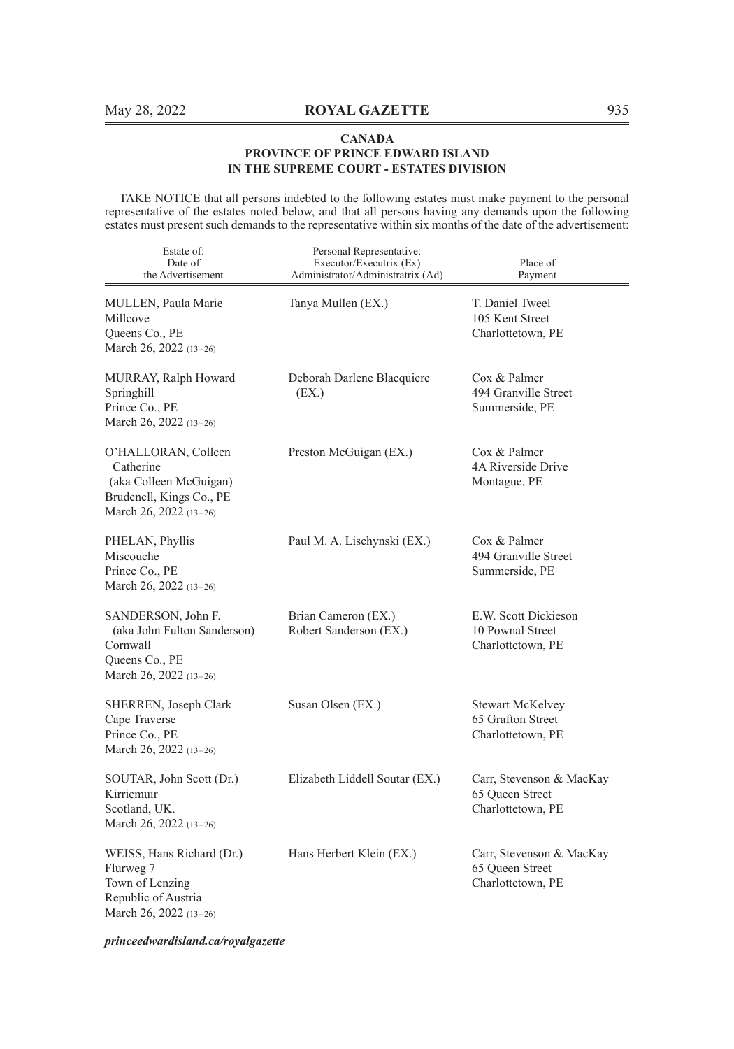TAKE NOTICE that all persons indebted to the following estates must make payment to the personal representative of the estates noted below, and that all persons having any demands upon the following estates must present such demands to the representative within six months of the date of the advertisement:

| Estate of:<br>Date of<br>the Advertisement                                                                       | Personal Representative:<br>Executor/Executrix (Ex)<br>Administrator/Administratrix (Ad) | Place of<br>Payment                                              |
|------------------------------------------------------------------------------------------------------------------|------------------------------------------------------------------------------------------|------------------------------------------------------------------|
| MULLEN, Paula Marie<br>Millcove<br>Queens Co., PE<br>March 26, 2022 (13–26)                                      | Tanya Mullen (EX.)                                                                       | T. Daniel Tweel<br>105 Kent Street<br>Charlottetown, PE          |
| MURRAY, Ralph Howard<br>Springhill<br>Prince Co., PE<br>March 26, 2022 (13–26)                                   | Deborah Darlene Blacquiere<br>(EX.)                                                      | $\cos \&$ Palmer<br>494 Granville Street<br>Summerside, PE       |
| O'HALLORAN, Colleen<br>Catherine<br>(aka Colleen McGuigan)<br>Brudenell, Kings Co., PE<br>March 26, 2022 (13–26) | Preston McGuigan (EX.)                                                                   | $\cos \&$ Palmer<br>4A Riverside Drive<br>Montague, PE           |
| PHELAN, Phyllis<br>Miscouche<br>Prince Co., PE<br>March 26, 2022 (13-26)                                         | Paul M. A. Lischynski (EX.)                                                              | Cox & Palmer<br>494 Granville Street<br>Summerside, PE           |
| SANDERSON, John F.<br>(aka John Fulton Sanderson)<br>Cornwall<br>Queens Co., PE<br>March 26, 2022 (13–26)        | Brian Cameron (EX.)<br>Robert Sanderson (EX.)                                            | E.W. Scott Dickieson<br>10 Pownal Street<br>Charlottetown, PE    |
| SHERREN, Joseph Clark<br>Cape Traverse<br>Prince Co., PE<br>March 26, 2022 (13-26)                               | Susan Olsen (EX.)                                                                        | Stewart McKelvey<br>65 Grafton Street<br>Charlottetown, PE       |
| SOUTAR, John Scott (Dr.)<br>Kirriemuir<br>Scotland, UK.<br>March 26, 2022 (13-26)                                | Elizabeth Liddell Soutar (EX.)                                                           | Carr, Stevenson & MacKay<br>65 Oueen Street<br>Charlottetown, PE |
| WEISS, Hans Richard (Dr.)<br>Flurweg 7<br>Town of Lenzing<br>Republic of Austria<br>March 26, 2022 (13–26)       | Hans Herbert Klein (EX.)                                                                 | Carr, Stevenson & MacKay<br>65 Oueen Street<br>Charlottetown, PE |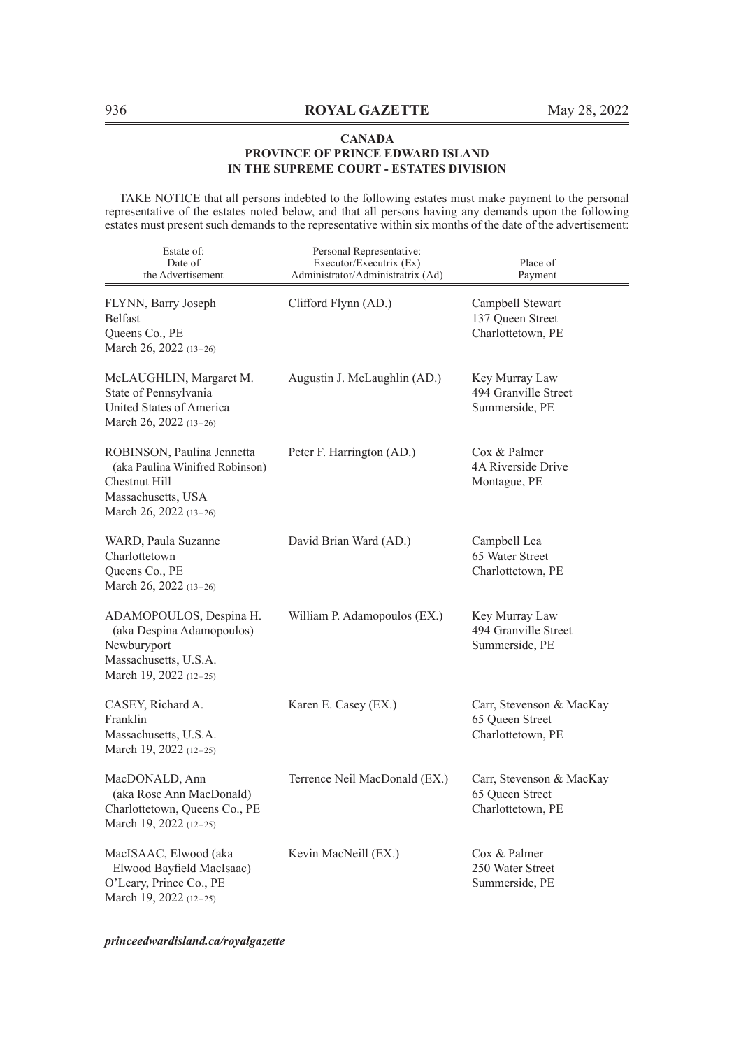TAKE NOTICE that all persons indebted to the following estates must make payment to the personal representative of the estates noted below, and that all persons having any demands upon the following estates must present such demands to the representative within six months of the date of the advertisement:

| Estate of:<br>Date of<br>the Advertisement                                                                                     | Personal Representative:<br>Executor/Executrix (Ex)<br>Administrator/Administratrix (Ad) | Place of<br>Payment                                              |
|--------------------------------------------------------------------------------------------------------------------------------|------------------------------------------------------------------------------------------|------------------------------------------------------------------|
| FLYNN, Barry Joseph<br><b>Belfast</b><br>Queens Co., PE<br>March 26, 2022 (13-26)                                              | Clifford Flynn (AD.)                                                                     | Campbell Stewart<br>137 Queen Street<br>Charlottetown, PE        |
| McLAUGHLIN, Margaret M.<br>State of Pennsylvania<br>United States of America<br>March 26, 2022 (13-26)                         | Augustin J. McLaughlin (AD.)                                                             | Key Murray Law<br>494 Granville Street<br>Summerside, PE         |
| ROBINSON, Paulina Jennetta<br>(aka Paulina Winifred Robinson)<br>Chestnut Hill<br>Massachusetts, USA<br>March 26, 2022 (13-26) | Peter F. Harrington (AD.)                                                                | Cox & Palmer<br>4A Riverside Drive<br>Montague, PE               |
| WARD, Paula Suzanne<br>Charlottetown<br>Queens Co., PE<br>March 26, 2022 (13-26)                                               | David Brian Ward (AD.)                                                                   | Campbell Lea<br>65 Water Street<br>Charlottetown, PE             |
| ADAMOPOULOS, Despina H.<br>(aka Despina Adamopoulos)<br>Newburyport<br>Massachusetts, U.S.A.<br>March 19, 2022 (12-25)         | William P. Adamopoulos (EX.)                                                             | Key Murray Law<br>494 Granville Street<br>Summerside, PE         |
| CASEY, Richard A.<br>Franklin<br>Massachusetts, U.S.A.<br>March 19, 2022 (12-25)                                               | Karen E. Casey (EX.)                                                                     | Carr, Stevenson & MacKay<br>65 Queen Street<br>Charlottetown, PE |
| MacDONALD, Ann<br>(aka Rose Ann MacDonald)<br>Charlottetown, Queens Co., PE<br>March 19, 2022 (12-25)                          | Terrence Neil MacDonald (EX.)                                                            | Carr, Stevenson & MacKay<br>65 Queen Street<br>Charlottetown, PE |
| MacISAAC, Elwood (aka<br>Elwood Bayfield MacIsaac)<br>O'Leary, Prince Co., PE<br>March 19, 2022 (12-25)                        | Kevin MacNeill (EX.)                                                                     | $\cos \&$ Palmer<br>250 Water Street<br>Summerside, PE           |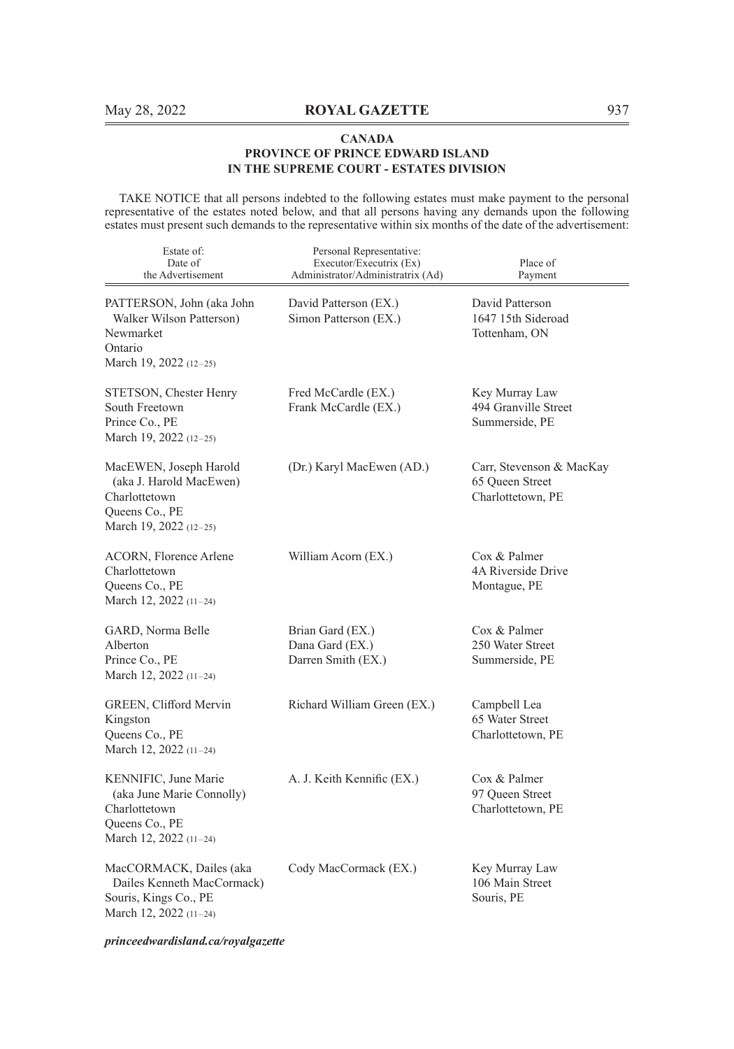TAKE NOTICE that all persons indebted to the following estates must make payment to the personal representative of the estates noted below, and that all persons having any demands upon the following estates must present such demands to the representative within six months of the date of the advertisement:

| Estate of:<br>Date of<br>the Advertisement                                                                       | Personal Representative:<br>Executor/Executrix (Ex)<br>Administrator/Administratrix (Ad) | Place of<br>Payment                                              |
|------------------------------------------------------------------------------------------------------------------|------------------------------------------------------------------------------------------|------------------------------------------------------------------|
| PATTERSON, John (aka John<br>Walker Wilson Patterson)<br>Newmarket<br>Ontario<br>March 19, 2022 (12-25)          | David Patterson (EX.)<br>Simon Patterson (EX.)                                           | David Patterson<br>1647 15th Sideroad<br>Tottenham, ON           |
| STETSON, Chester Henry<br>South Freetown<br>Prince Co., PE<br>March 19, 2022 $(12-25)$                           | Fred McCardle (EX.)<br>Frank McCardle (EX.)                                              | Key Murray Law<br>494 Granville Street<br>Summerside, PE         |
| MacEWEN, Joseph Harold<br>(aka J. Harold MacEwen)<br>Charlottetown<br>Queens Co., PE<br>March 19, 2022 (12–25)   | (Dr.) Karyl MacEwen (AD.)                                                                | Carr, Stevenson & MacKay<br>65 Queen Street<br>Charlottetown, PE |
| ACORN, Florence Arlene<br>Charlottetown<br>Queens Co., PE<br>March 12, 2022 (11-24)                              | William Acorn (EX.)                                                                      | Cox & Palmer<br>4A Riverside Drive<br>Montague, PE               |
| GARD, Norma Belle<br>Alberton<br>Prince Co., PE<br>March 12, 2022 (11-24)                                        | Brian Gard (EX.)<br>Dana Gard (EX.)<br>Darren Smith (EX.)                                | Cox & Palmer<br>250 Water Street<br>Summerside, PE               |
| GREEN, Clifford Mervin<br>Kingston<br>Queens Co., PE<br>March 12, 2022 (11-24)                                   | Richard William Green (EX.)                                                              | Campbell Lea<br>65 Water Street<br>Charlottetown, PE             |
| KENNIFIC, June Marie<br>(aka June Marie Connolly)<br>Charlottetown<br>Queens Co., PE<br>March 12, 2022 $(11-24)$ | A. J. Keith Kennific (EX.)                                                               | Cox & Palmer<br>97 Oueen Street<br>Charlottetown, PE             |
| MacCORMACK, Dailes (aka<br>Dailes Kenneth MacCormack)<br>Souris, Kings Co., PE<br>March 12, 2022 (11-24)         | Cody MacCormack (EX.)                                                                    | Key Murray Law<br>106 Main Street<br>Souris, PE                  |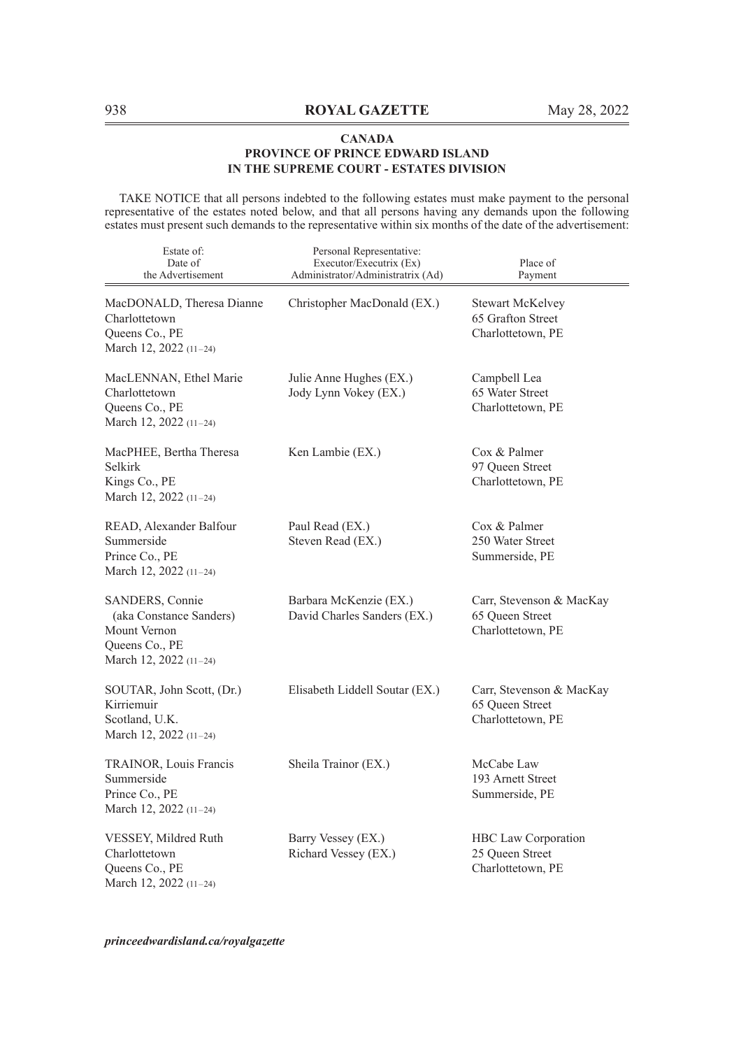TAKE NOTICE that all persons indebted to the following estates must make payment to the personal representative of the estates noted below, and that all persons having any demands upon the following estates must present such demands to the representative within six months of the date of the advertisement:

| Estate of:<br>Date of<br>the Advertisement                                                             | Personal Representative:<br>Executor/Executrix (Ex)<br>Administrator/Administratrix (Ad) | Place of<br>Payment                                                |
|--------------------------------------------------------------------------------------------------------|------------------------------------------------------------------------------------------|--------------------------------------------------------------------|
| MacDONALD, Theresa Dianne<br>Charlottetown<br>Queens Co., PE<br>March 12, 2022 (11-24)                 | Christopher MacDonald (EX.)                                                              | <b>Stewart McKelvey</b><br>65 Grafton Street<br>Charlottetown, PE  |
| MacLENNAN, Ethel Marie<br>Charlottetown<br>Queens Co., PE<br>March 12, 2022 (11-24)                    | Julie Anne Hughes (EX.)<br>Jody Lynn Vokey (EX.)                                         | Campbell Lea<br>65 Water Street<br>Charlottetown, PE               |
| MacPHEE, Bertha Theresa<br>Selkirk<br>Kings Co., PE<br>March 12, 2022 (11-24)                          | Ken Lambie (EX.)                                                                         | Cox & Palmer<br>97 Queen Street<br>Charlottetown, PE               |
| READ, Alexander Balfour<br>Summerside<br>Prince Co., PE<br>March 12, 2022 (11-24)                      | Paul Read (EX.)<br>Steven Read (EX.)                                                     | Cox & Palmer<br>250 Water Street<br>Summerside, PE                 |
| SANDERS, Connie<br>(aka Constance Sanders)<br>Mount Vernon<br>Queens Co., PE<br>March 12, 2022 (11-24) | Barbara McKenzie (EX.)<br>David Charles Sanders (EX.)                                    | Carr, Stevenson & MacKay<br>65 Oueen Street<br>Charlottetown, PE   |
| SOUTAR, John Scott, (Dr.)<br>Kirriemuir<br>Scotland, U.K.<br>March 12, 2022 (11-24)                    | Elisabeth Liddell Soutar (EX.)                                                           | Carr, Stevenson & MacKay<br>65 Queen Street<br>Charlottetown, PE   |
| TRAINOR, Louis Francis<br>Summerside<br>Prince Co., PE<br>March 12, 2022 (11-24)                       | Sheila Trainor (EX.)                                                                     | McCabe Law<br>193 Arnett Street<br>Summerside, PE                  |
| VESSEY, Mildred Ruth<br>Charlottetown<br>Queens Co., PE<br>March 12, 2022 (11-24)                      | Barry Vessey (EX.)<br>Richard Vessey (EX.)                                               | <b>HBC</b> Law Corporation<br>25 Queen Street<br>Charlottetown, PE |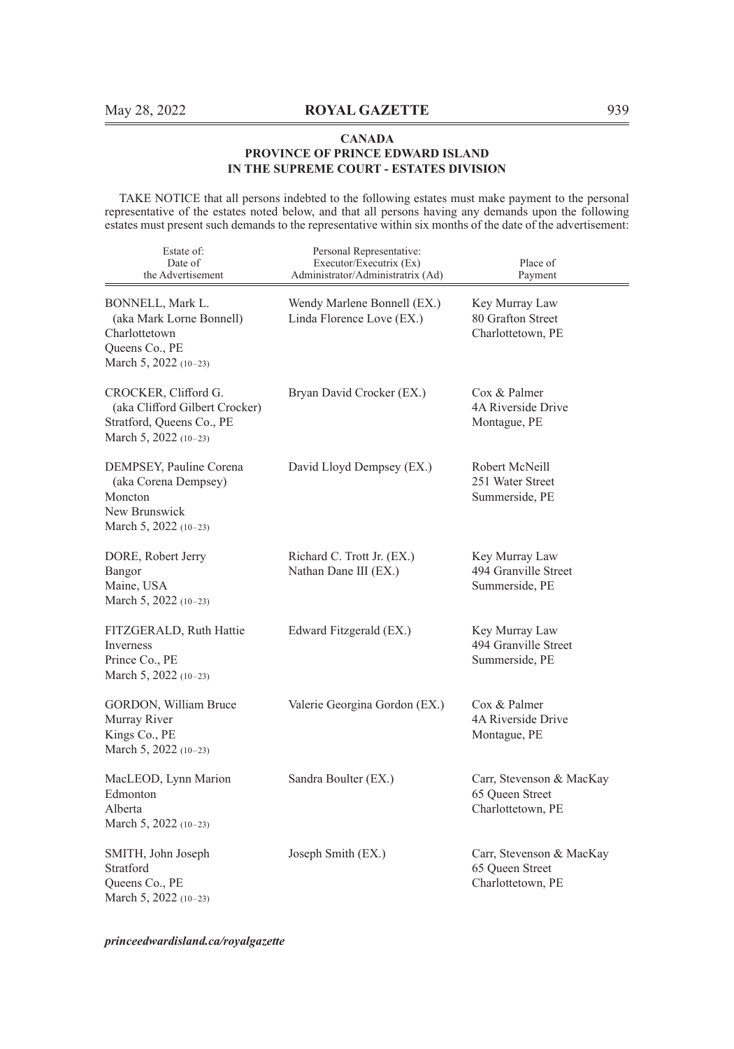TAKE NOTICE that all persons indebted to the following estates must make payment to the personal representative of the estates noted below, and that all persons having any demands upon the following estates must present such demands to the representative within six months of the date of the advertisement:

| Estate of:<br>Date of<br>the Advertisement                                                                     | Personal Representative:<br>Executor/Executrix (Ex)<br>Administrator/Administratrix (Ad) | Place of<br>Payment                                              |
|----------------------------------------------------------------------------------------------------------------|------------------------------------------------------------------------------------------|------------------------------------------------------------------|
| BONNELL, Mark L.<br>(aka Mark Lorne Bonnell)<br>Charlottetown<br>Queens Co., PE<br>March 5, 2022 (10-23)       | Wendy Marlene Bonnell (EX.)<br>Linda Florence Love (EX.)                                 | Key Murray Law<br>80 Grafton Street<br>Charlottetown, PE         |
| CROCKER, Clifford G.<br>(aka Clifford Gilbert Crocker)<br>Stratford, Queens Co., PE<br>March 5, 2022 $(10-23)$ | Bryan David Crocker (EX.)                                                                | Cox & Palmer<br>4A Riverside Drive<br>Montague, PE               |
| DEMPSEY, Pauline Corena<br>(aka Corena Dempsey)<br>Moncton<br>New Brunswick<br>March 5, 2022 (10-23)           | David Lloyd Dempsey (EX.)                                                                | Robert McNeill<br>251 Water Street<br>Summerside, PE             |
| DORE, Robert Jerry<br>Bangor<br>Maine, USA<br>March 5, 2022 (10-23)                                            | Richard C. Trott Jr. (EX.)<br>Nathan Dane III (EX.)                                      | Key Murray Law<br>494 Granville Street<br>Summerside, PE         |
| FITZGERALD, Ruth Hattie<br>Inverness<br>Prince Co., PE<br>March 5, 2022 $(10-23)$                              | Edward Fitzgerald (EX.)                                                                  | Key Murray Law<br>494 Granville Street<br>Summerside, PE         |
| GORDON, William Bruce<br>Murray River<br>Kings Co., PE<br>March 5, 2022 (10-23)                                | Valerie Georgina Gordon (EX.)                                                            | Cox & Palmer<br>4A Riverside Drive<br>Montague, PE               |
| MacLEOD, Lynn Marion<br>Edmonton<br>Alberta<br>March 5, 2022 $(10-23)$                                         | Sandra Boulter (EX.)                                                                     | Carr, Stevenson & MacKay<br>65 Queen Street<br>Charlottetown, PE |
| SMITH, John Joseph<br>Stratford<br>Queens Co., PE<br>March 5, 2022 (10-23)                                     | Joseph Smith (EX.)                                                                       | Carr, Stevenson & MacKay<br>65 Oueen Street<br>Charlottetown, PE |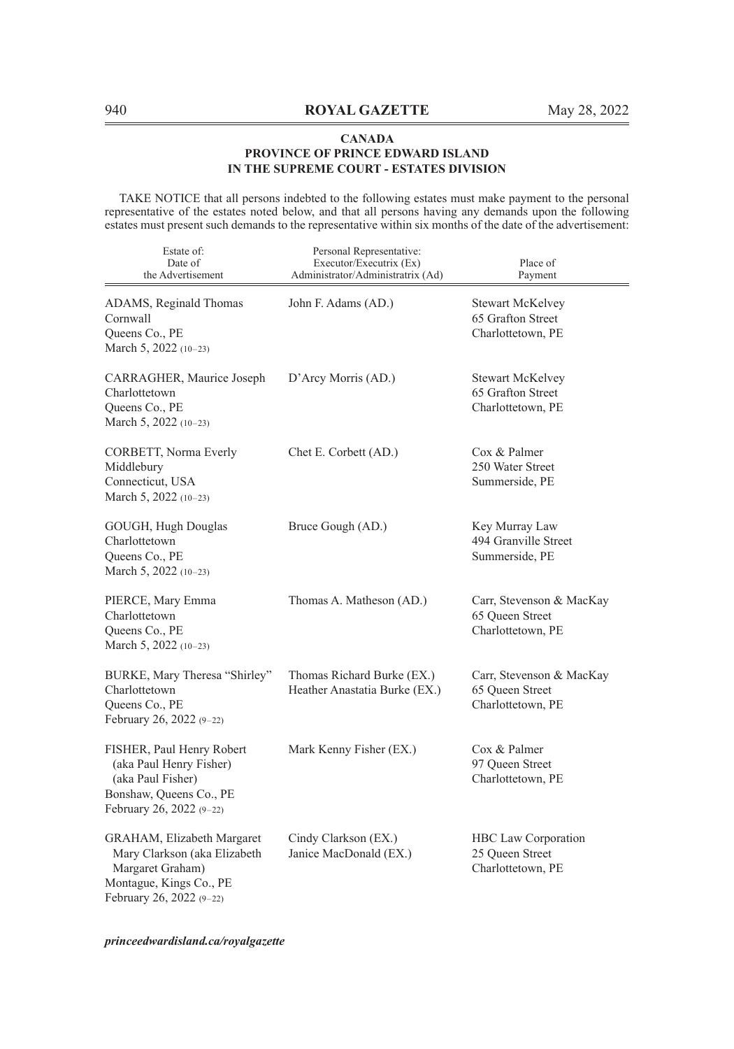TAKE NOTICE that all persons indebted to the following estates must make payment to the personal representative of the estates noted below, and that all persons having any demands upon the following estates must present such demands to the representative within six months of the date of the advertisement:

| Estate of:<br>Date of<br>the Advertisement                                                                                            | Personal Representative:<br>Executor/Executrix (Ex)<br>Administrator/Administratrix (Ad) | Place of<br>Payment                                               |
|---------------------------------------------------------------------------------------------------------------------------------------|------------------------------------------------------------------------------------------|-------------------------------------------------------------------|
| ADAMS, Reginald Thomas<br>Cornwall<br>Queens Co., PE<br>March 5, 2022 (10-23)                                                         | John F. Adams (AD.)                                                                      | <b>Stewart McKelvey</b><br>65 Grafton Street<br>Charlottetown, PE |
| CARRAGHER, Maurice Joseph<br>Charlottetown<br>Queens Co., PE<br>March 5, 2022 (10-23)                                                 | D'Arcy Morris (AD.)                                                                      | Stewart McKelvey<br>65 Grafton Street<br>Charlottetown, PE        |
| CORBETT, Norma Everly<br>Middlebury<br>Connecticut, USA<br>March 5, 2022 (10-23)                                                      | Chet E. Corbett (AD.)                                                                    | Cox & Palmer<br>250 Water Street<br>Summerside, PE                |
| GOUGH, Hugh Douglas<br>Charlottetown<br>Queens Co., PE<br>March 5, 2022 (10-23)                                                       | Bruce Gough (AD.)                                                                        | Key Murray Law<br>494 Granville Street<br>Summerside, PE          |
| PIERCE, Mary Emma<br>Charlottetown<br>Queens Co., PE<br>March 5, 2022 (10-23)                                                         | Thomas A. Matheson (AD.)                                                                 | Carr, Stevenson & MacKay<br>65 Queen Street<br>Charlottetown, PE  |
| BURKE, Mary Theresa "Shirley"<br>Charlottetown<br>Queens Co., PE<br>February 26, 2022 (9-22)                                          | Thomas Richard Burke (EX.)<br>Heather Anastatia Burke (EX.)                              | Carr, Stevenson & MacKay<br>65 Queen Street<br>Charlottetown, PE  |
| FISHER, Paul Henry Robert<br>(aka Paul Henry Fisher)<br>(aka Paul Fisher)<br>Bonshaw, Queens Co., PE<br>February 26, 2022 (9-22)      | Mark Kenny Fisher (EX.)                                                                  | Cox & Palmer<br>97 Queen Street<br>Charlottetown, PE              |
| GRAHAM, Elizabeth Margaret<br>Mary Clarkson (aka Elizabeth<br>Margaret Graham)<br>Montague, Kings Co., PE<br>February 26, 2022 (9-22) | Cindy Clarkson (EX.)<br>Janice MacDonald (EX.)                                           | HBC Law Corporation<br>25 Queen Street<br>Charlottetown, PE       |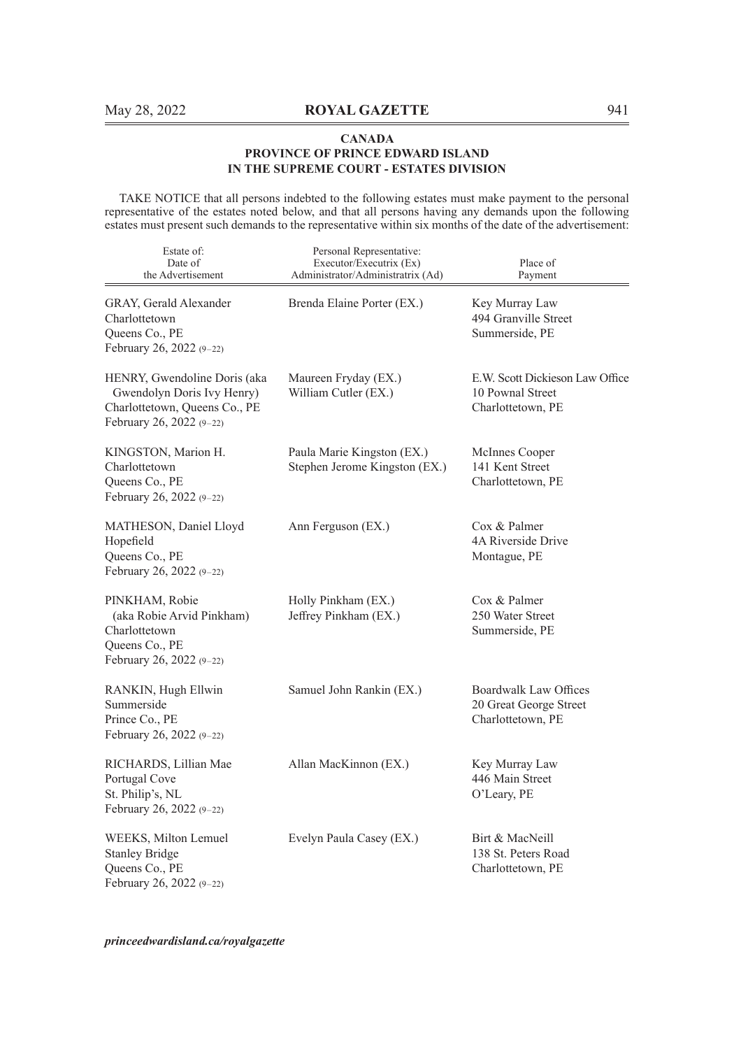TAKE NOTICE that all persons indebted to the following estates must make payment to the personal representative of the estates noted below, and that all persons having any demands upon the following estates must present such demands to the representative within six months of the date of the advertisement:

| Estate of:<br>Date of<br>the Advertisement                                                                              | Personal Representative:<br>Executor/Executrix (Ex)<br>Administrator/Administratrix (Ad) | Place of<br>Payment                                                      |
|-------------------------------------------------------------------------------------------------------------------------|------------------------------------------------------------------------------------------|--------------------------------------------------------------------------|
| GRAY, Gerald Alexander<br>Charlottetown<br>Queens Co., PE<br>February 26, 2022 (9-22)                                   | Brenda Elaine Porter (EX.)                                                               | Key Murray Law<br>494 Granville Street<br>Summerside, PE                 |
| HENRY, Gwendoline Doris (aka<br>Gwendolyn Doris Ivy Henry)<br>Charlottetown, Queens Co., PE<br>February 26, 2022 (9-22) | Maureen Fryday (EX.)<br>William Cutler (EX.)                                             | E.W. Scott Dickieson Law Office<br>10 Pownal Street<br>Charlottetown, PE |
| KINGSTON, Marion H.<br>Charlottetown<br>Queens Co., PE<br>February 26, 2022 (9-22)                                      | Paula Marie Kingston (EX.)<br>Stephen Jerome Kingston (EX.)                              | McInnes Cooper<br>141 Kent Street<br>Charlottetown, PE                   |
| MATHESON, Daniel Lloyd<br>Hopefield<br>Queens Co., PE<br>February 26, 2022 (9-22)                                       | Ann Ferguson (EX.)                                                                       | Cox & Palmer<br>4A Riverside Drive<br>Montague, PE                       |
| PINKHAM, Robie<br>(aka Robie Arvid Pinkham)<br>Charlottetown<br>Queens Co., PE<br>February 26, 2022 (9-22)              | Holly Pinkham (EX.)<br>Jeffrey Pinkham (EX.)                                             | Cox & Palmer<br>250 Water Street<br>Summerside, PE                       |
| RANKIN, Hugh Ellwin<br>Summerside<br>Prince Co., PE<br>February 26, 2022 (9-22)                                         | Samuel John Rankin (EX.)                                                                 | Boardwalk Law Offices<br>20 Great George Street<br>Charlottetown, PE     |
| RICHARDS, Lillian Mae<br>Portugal Cove<br>St. Philip's, NL<br>February 26, 2022 (9-22)                                  | Allan MacKinnon (EX.)                                                                    | Key Murray Law<br>446 Main Street<br>O'Leary, PE                         |
| WEEKS, Milton Lemuel<br><b>Stanley Bridge</b><br>Queens Co., PE<br>February 26, 2022 (9-22)                             | Evelyn Paula Casey (EX.)                                                                 | Birt & MacNeill<br>138 St. Peters Road<br>Charlottetown, PE              |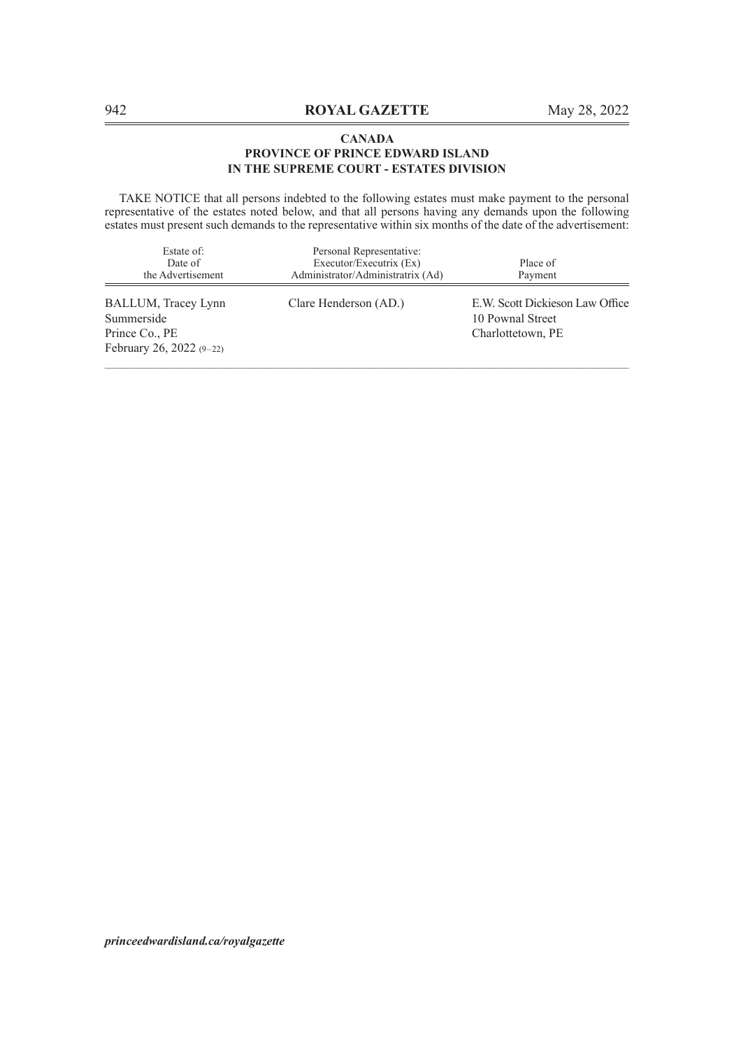TAKE NOTICE that all persons indebted to the following estates must make payment to the personal representative of the estates noted below, and that all persons having any demands upon the following estates must present such demands to the representative within six months of the date of the advertisement:

| Estate of:<br>Date of<br>the Advertisement                                      | Personal Representative:<br>Executor/Executrix (Ex)<br>Administrator/Administratrix (Ad) | Place of<br>Payment                                                      |
|---------------------------------------------------------------------------------|------------------------------------------------------------------------------------------|--------------------------------------------------------------------------|
| BALLUM, Tracey Lynn<br>Summerside<br>Prince Co., PE<br>February 26, 2022 (9-22) | Clare Henderson (AD.)                                                                    | E.W. Scott Dickieson Law Office<br>10 Pownal Street<br>Charlottetown, PE |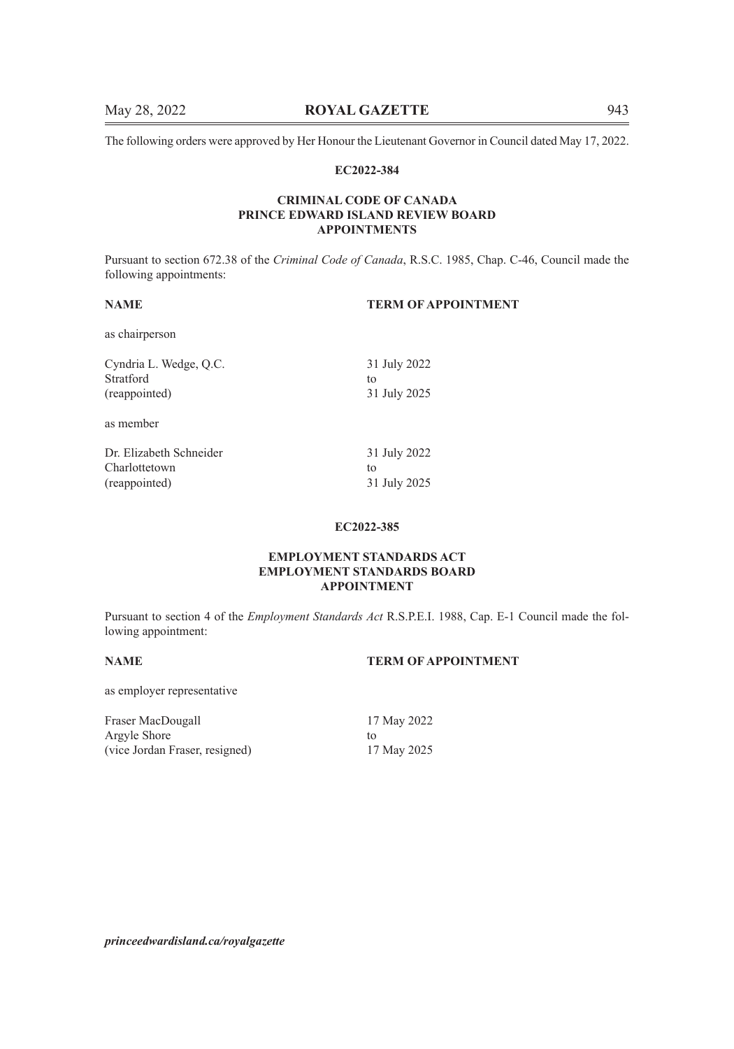The following orders were approved by Her Honour the Lieutenant Governor in Council dated May 17, 2022.

### **EC2022-384**

# **CRIMINAL CODE OF CANADA PRINCE EDWARD ISLAND REVIEW BOARD APPOINTMENTS**

Pursuant to section 672.38 of the *Criminal Code of Canada*, R.S.C. 1985, Chap. C-46, Council made the following appointments:

# **NAME TERM OF APPOINTMENT**

as chairperson

| Cyndria L. Wedge, Q.C.  | 31 July 2022 |
|-------------------------|--------------|
| Stratford               | to           |
| (reappointed)           | 31 July 2025 |
| as member               |              |
| Dr. Elizabeth Schneider | 31 July 2022 |
| Charlottetown           | to           |
| (reappointed)           | 31 July 2025 |

# **EC2022-385**

# **EMPLOYMENT STANDARDS ACT EMPLOYMENT STANDARDS BOARD APPOINTMENT**

Pursuant to section 4 of the *Employment Standards Act* R.S.P.E.I. 1988, Cap. E-1 Council made the following appointment:

# **NAME TERM OF APPOINTMENT**

as employer representative

Fraser MacDougall 17 May 2022 Argyle Shore to<br>
(vice Jordan Fraser, resigned) to<br>
17 May 2025 (vice Jordan Fraser, resigned)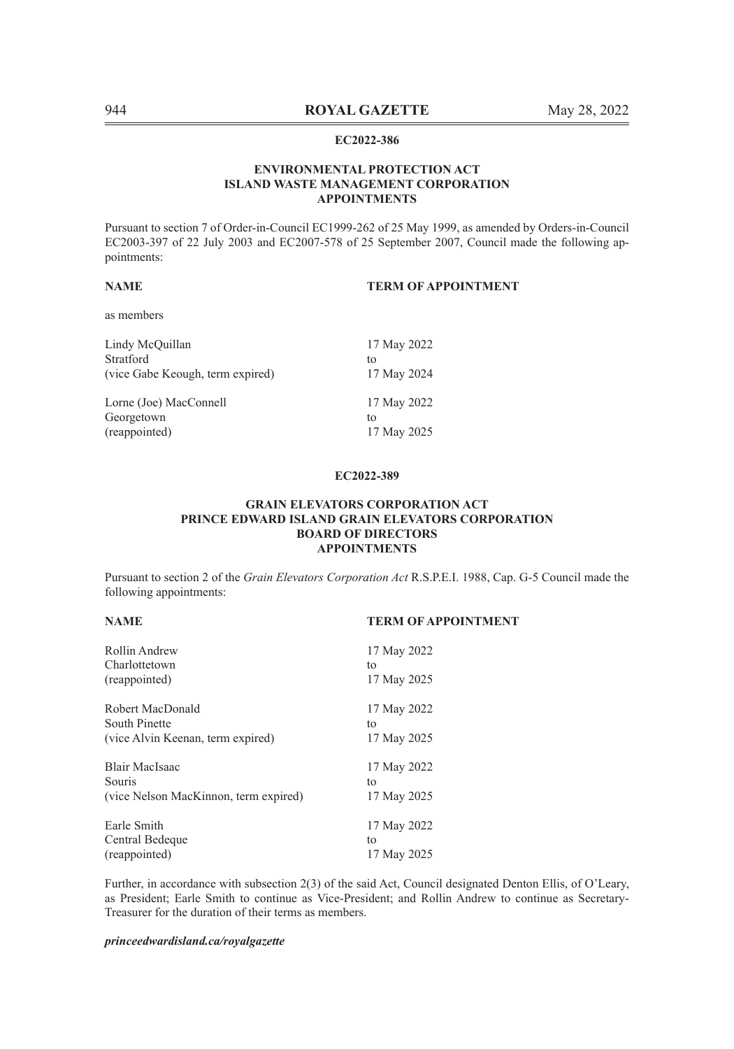# **ENVIRONMENTAL PROTECTION ACT ISLAND WASTE MANAGEMENT CORPORATION APPOINTMENTS**

Pursuant to section 7 of Order-in-Council EC1999-262 of 25 May 1999, as amended by Orders-in-Council EC2003-397 of 22 July 2003 and EC2007-578 of 25 September 2007, Council made the following appointments:

# **NAME TERM OF APPOINTMENT**

as members

| 17 May 2022 |
|-------------|
| to          |
| 17 May 2024 |
|             |
| 17 May 2022 |
|             |
| tο          |
|             |

### **EC2022-389**

# **GRAIN ELEVATORS CORPORATION ACT PRINCE EDWARD ISLAND GRAIN ELEVATORS CORPORATION BOARD OF DIRECTORS APPOINTMENTS**

Pursuant to section 2 of the *Grain Elevators Corporation Act* R.S.P.E.I. 1988, Cap. G-5 Council made the following appointments:

# **NAME TERM OF APPOINTMENT**

| Rollin Andrew<br>Charlottetown        | 17 May 2022<br>to |
|---------------------------------------|-------------------|
| (reappointed)                         | 17 May 2025       |
| Robert MacDonald                      | 17 May 2022       |
| South Pinette                         | to                |
| (vice Alvin Keenan, term expired)     | 17 May 2025       |
| Blair MacIsaac                        | 17 May 2022       |
| Souris                                | to                |
| (vice Nelson MacKinnon, term expired) | 17 May 2025       |
| Earle Smith                           | 17 May 2022       |
| Central Bedeque                       | to                |
| (reappointed)                         | 17 May 2025       |

Further, in accordance with subsection 2(3) of the said Act, Council designated Denton Ellis, of O'Leary, as President; Earle Smith to continue as Vice-President; and Rollin Andrew to continue as Secretary-Treasurer for the duration of their terms as members.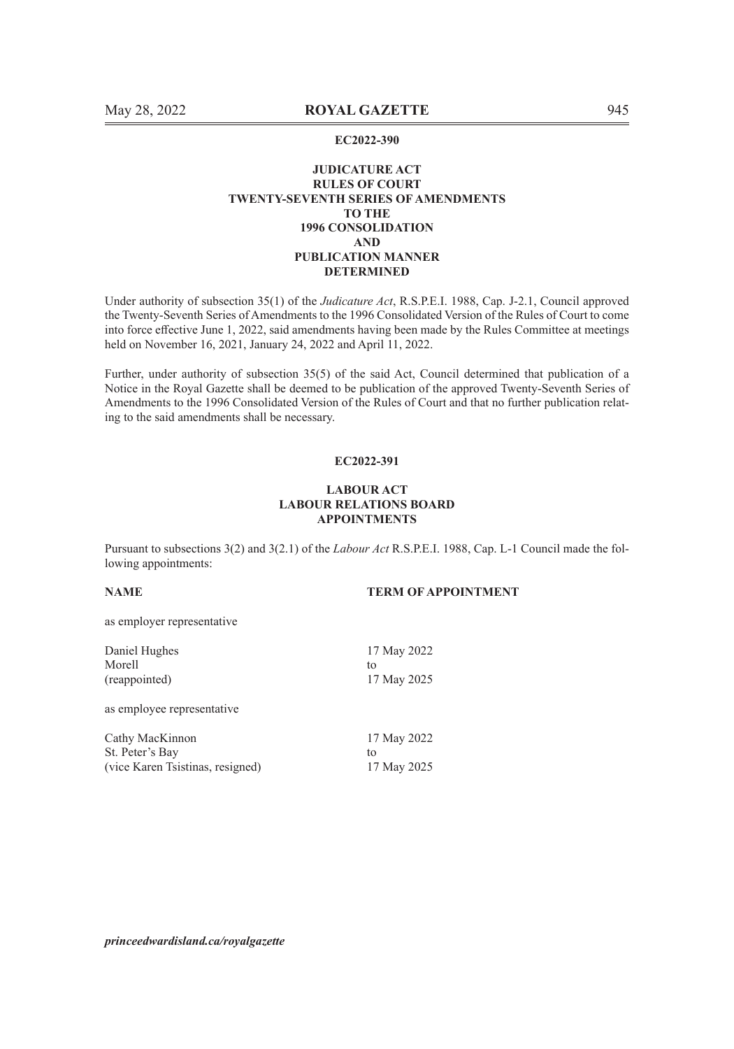### **JUDICATURE ACT RULES OF COURT TWENTY-SEVENTH SERIES OF AMENDMENTS TO THE 1996 CONSOLIDATION AND PUBLICATION MANNER DETERMINED**

Under authority of subsection 35(1) of the *Judicature Act*, R.S.P.E.I. 1988, Cap. J-2.1, Council approved the Twenty-Seventh Series of Amendments to the 1996 Consolidated Version of the Rules of Court to come into force effective June 1, 2022, said amendments having been made by the Rules Committee at meetings held on November 16, 2021, January 24, 2022 and April 11, 2022.

Further, under authority of subsection 35(5) of the said Act, Council determined that publication of a Notice in the Royal Gazette shall be deemed to be publication of the approved Twenty-Seventh Series of Amendments to the 1996 Consolidated Version of the Rules of Court and that no further publication relating to the said amendments shall be necessary.

# **EC2022-391**

### **LABOUR ACT LABOUR RELATIONS BOARD APPOINTMENTS**

Pursuant to subsections 3(2) and 3(2.1) of the *Labour Act* R.S.P.E.I. 1988, Cap. L-1 Council made the following appointments:

# **NAME TERM OF APPOINTMENT**

as employer representative

| Daniel Hughes                    | 17 May 2022 |
|----------------------------------|-------------|
| Morell                           | to          |
| (reappointed)                    | 17 May 2025 |
| as employee representative       |             |
| Cathy MacKinnon                  | 17 May 2022 |
| St. Peter's Bay                  | to          |
| (vice Karen Tsistinas, resigned) | 17 May 2025 |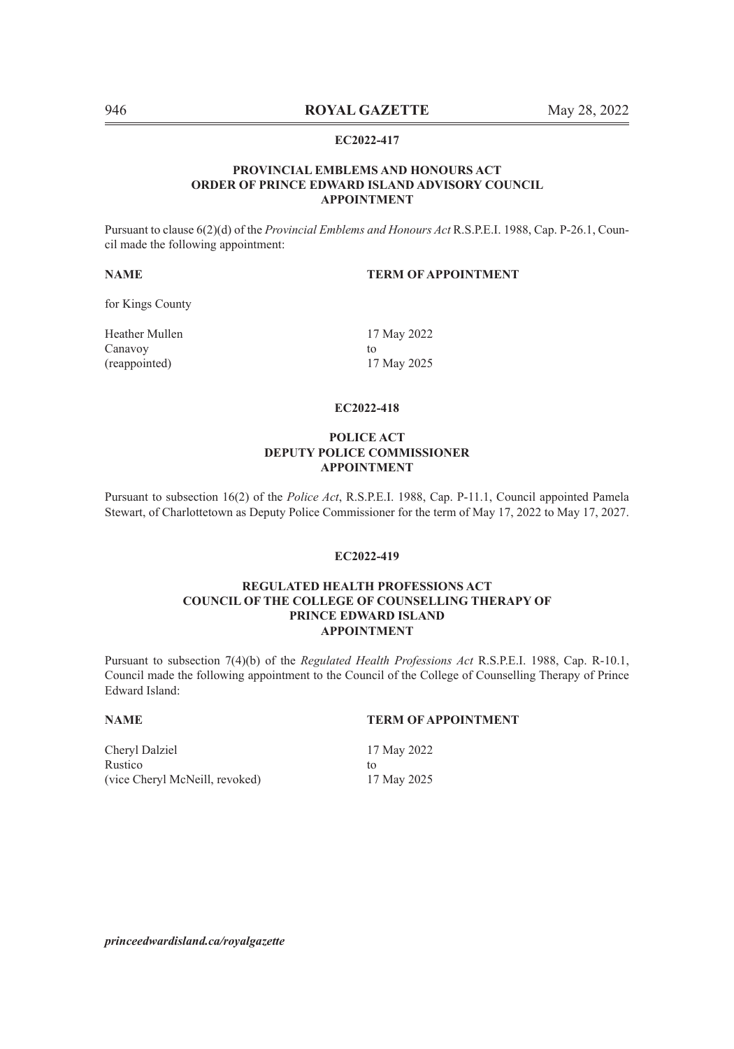### **PROVINCIAL EMBLEMS AND HONOURS ACT ORDER OF PRINCE EDWARD ISLAND ADVISORY COUNCIL APPOINTMENT**

Pursuant to clause 6(2)(d) of the *Provincial Emblems and Honours Act* R.S.P.E.I. 1988, Cap. P-26.1, Council made the following appointment:

# **NAME TERM OF APPOINTMENT**

for Kings County

Heather Mullen 17 May 2022 Canavoy to the contract of the contract of the contract of the contract of the contract of the contract of the contract of the contract of the contract of the contract of the contract of the contract of the contract of the (reappointed) 17 May 2025

# **EC2022-418**

# **POLICE ACT DEPUTY POLICE COMMISSIONER APPOINTMENT**

Pursuant to subsection 16(2) of the *Police Act*, R.S.P.E.I. 1988, Cap. P-11.1, Council appointed Pamela Stewart, of Charlottetown as Deputy Police Commissioner for the term of May 17, 2022 to May 17, 2027.

### **EC2022-419**

### **REGULATED HEALTH PROFESSIONS ACT COUNCIL OF THE COLLEGE OF COUNSELLING THERAPY OF PRINCE EDWARD ISLAND APPOINTMENT**

Pursuant to subsection 7(4)(b) of the *Regulated Health Professions Act* R.S.P.E.I. 1988, Cap. R-10.1, Council made the following appointment to the Council of the College of Counselling Therapy of Prince Edward Island:

# **NAME TERM OF APPOINTMENT**

Cheryl Dalziel 17 May 2022 Rustico to to the contract of the contract of the contract of the contract of the contract of the contract of the contract of the contract of the contract of the contract of the contract of the contract of the contract of (vice Cheryl McNeill, revoked) 17 May 2025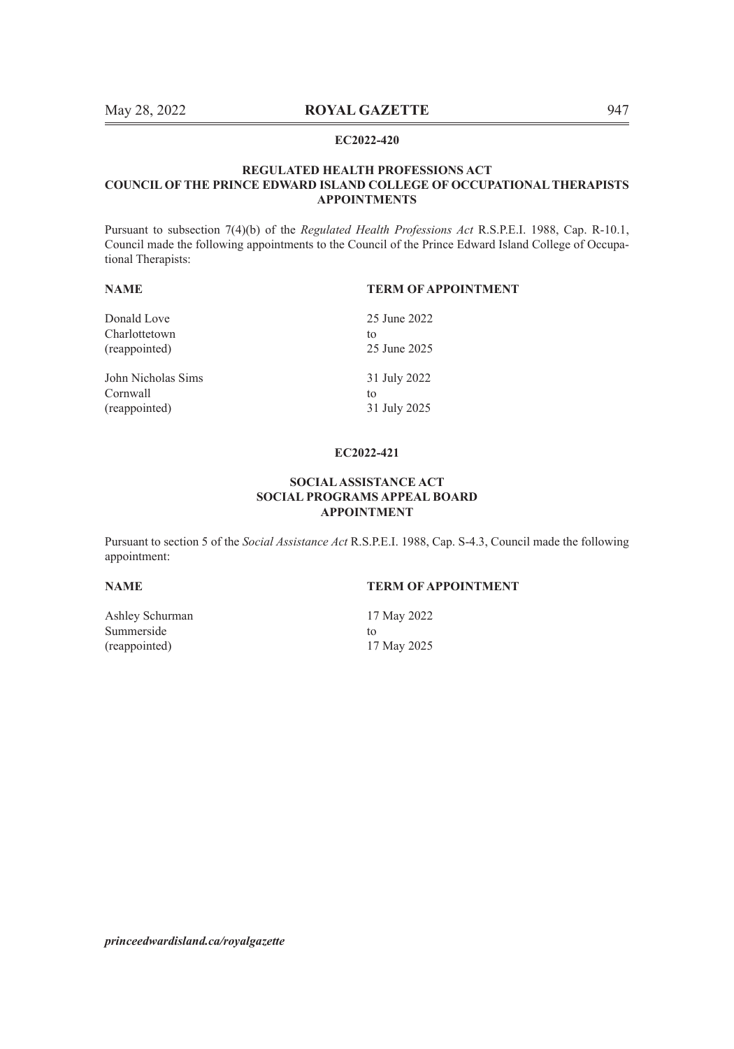### **REGULATED HEALTH PROFESSIONS ACT COUNCIL OF THE PRINCE EDWARD ISLAND COLLEGE OF OCCUPATIONAL THERAPISTS APPOINTMENTS**

Pursuant to subsection 7(4)(b) of the *Regulated Health Professions Act* R.S.P.E.I. 1988, Cap. R-10.1, Council made the following appointments to the Council of the Prince Edward Island College of Occupational Therapists:

| <b>NAME</b>        | <b>TERM OF APPOINTMENT</b> |  |
|--------------------|----------------------------|--|
| Donald Love        | 25 June 2022               |  |
| Charlottetown      | to                         |  |
| (reappointed)      | 25 June 2025               |  |
| John Nicholas Sims | 31 July 2022               |  |
| Cornwall           | to                         |  |
| (reappointed)      | 31 July 2025               |  |

### **EC2022-421**

### **SOCIAL ASSISTANCE ACT SOCIAL PROGRAMS APPEAL BOARD APPOINTMENT**

Pursuant to section 5 of the *Social Assistance Act* R.S.P.E.I. 1988, Cap. S-4.3, Council made the following appointment:

**NAME TERM OF APPOINTMENT**

Ashley Schurman 17 May 2022 Summerside to to the set of the set of the set of the set of the set of the set of the set of the set of the set of the set of the set of the set of the set of the set of the set of the set of the set of the set of the set (reappointed) 17 May 2025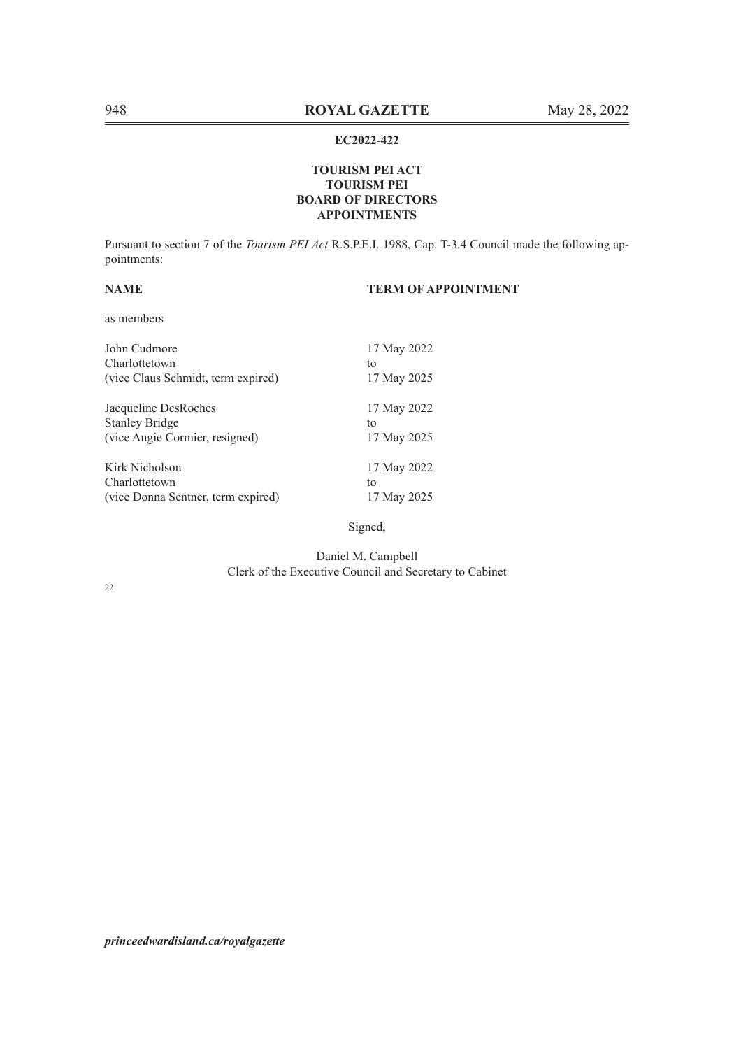# **TOURISM PEI ACT TOURISM PEI BOARD OF DIRECTORS APPOINTMENTS**

Pursuant to section 7 of the *Tourism PEI Act* R.S.P.E.I. 1988, Cap. T-3.4 Council made the following appointments:

# **NAME TERM OF APPOINTMENT**

as members

| John Cudmore                       | 17 May 2022 |
|------------------------------------|-------------|
| Charlottetown                      | to          |
| (vice Claus Schmidt, term expired) | 17 May 2025 |
| Jacqueline DesRoches               | 17 May 2022 |
| <b>Stanley Bridge</b>              | to          |
| (vice Angie Cormier, resigned)     | 17 May 2025 |
| Kirk Nicholson                     | 17 May 2022 |
| Charlottetown                      | to          |
| (vice Donna Sentner, term expired) | 17 May 2025 |

Signed,

Daniel M. Campbell Clerk of the Executive Council and Secretary to Cabinet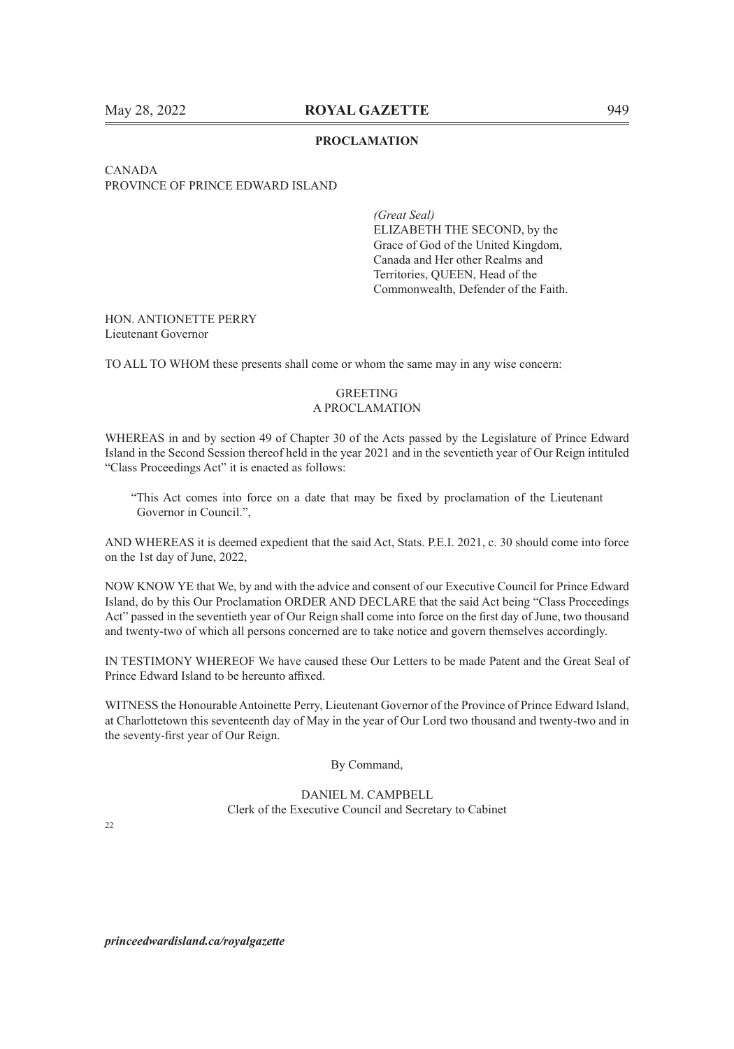### **PROCLAMATION**

# CANADA PROVINCE OF PRINCE EDWARD ISLAND

*(Great Seal)* ELIZABETH THE SECOND, by the Grace of God of the United Kingdom, Canada and Her other Realms and Territories, QUEEN, Head of the Commonwealth, Defender of the Faith.

### HON. ANTIONETTE PERRY Lieutenant Governor

TO ALL TO WHOM these presents shall come or whom the same may in any wise concern:

# GREETING A PROCLAMATION

WHEREAS in and by section 49 of Chapter 30 of the Acts passed by the Legislature of Prince Edward Island in the Second Session thereof held in the year 2021 and in the seventieth year of Our Reign intituled "Class Proceedings Act" it is enacted as follows:

"This Act comes into force on a date that may be fixed by proclamation of the Lieutenant Governor in Council.",

AND WHEREAS it is deemed expedient that the said Act, Stats. P.E.I. 2021, c. 30 should come into force on the 1st day of June, 2022,

NOW KNOW YE that We, by and with the advice and consent of our Executive Council for Prince Edward Island, do by this Our Proclamation ORDER AND DECLARE that the said Act being "Class Proceedings Act" passed in the seventieth year of Our Reign shall come into force on the first day of June, two thousand and twenty-two of which all persons concerned are to take notice and govern themselves accordingly.

IN TESTIMONY WHEREOF We have caused these Our Letters to be made Patent and the Great Seal of Prince Edward Island to be hereunto affixed.

WITNESS the Honourable Antoinette Perry, Lieutenant Governor of the Province of Prince Edward Island, at Charlottetown this seventeenth day of May in the year of Our Lord two thousand and twenty-two and in the seventy-first year of Our Reign.

By Command,

DANIEL M. CAMPBELL Clerk of the Executive Council and Secretary to Cabinet

 $22$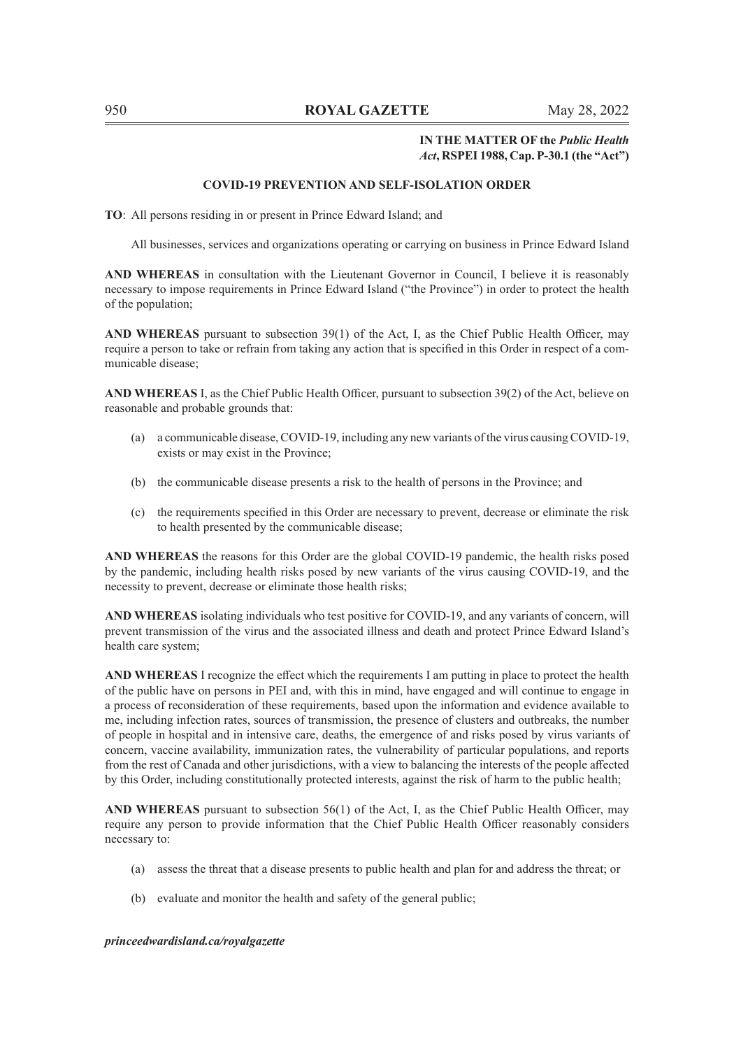# **IN THE MATTER OF the** *Public Health Act***, RSPEI 1988, Cap. P-30.1 (the "Act")**

### **COVID-19 PREVENTION AND SELF-ISOLATION ORDER**

**TO**: All persons residing in or present in Prince Edward Island; and

All businesses, services and organizations operating or carrying on business in Prince Edward Island

**AND WHEREAS** in consultation with the Lieutenant Governor in Council, I believe it is reasonably necessary to impose requirements in Prince Edward Island ("the Province") in order to protect the health of the population;

**AND WHEREAS** pursuant to subsection 39(1) of the Act, I, as the Chief Public Health Officer, may require a person to take or refrain from taking any action that is specified in this Order in respect of a communicable disease;

**AND WHEREAS** I, as the Chief Public Health Officer, pursuant to subsection 39(2) of the Act, believe on reasonable and probable grounds that:

- (a) a communicable disease, COVID-19, including any new variants of the virus causing COVID-19, exists or may exist in the Province;
- (b) the communicable disease presents a risk to the health of persons in the Province; and
- (c) the requirements specified in this Order are necessary to prevent, decrease or eliminate the risk to health presented by the communicable disease;

**AND WHEREAS** the reasons for this Order are the global COVID-19 pandemic, the health risks posed by the pandemic, including health risks posed by new variants of the virus causing COVID-19, and the necessity to prevent, decrease or eliminate those health risks;

**AND WHEREAS** isolating individuals who test positive for COVID-19, and any variants of concern, will prevent transmission of the virus and the associated illness and death and protect Prince Edward Island's health care system;

**AND WHEREAS** I recognize the effect which the requirements I am putting in place to protect the health of the public have on persons in PEI and, with this in mind, have engaged and will continue to engage in a process of reconsideration of these requirements, based upon the information and evidence available to me, including infection rates, sources of transmission, the presence of clusters and outbreaks, the number of people in hospital and in intensive care, deaths, the emergence of and risks posed by virus variants of concern, vaccine availability, immunization rates, the vulnerability of particular populations, and reports from the rest of Canada and other jurisdictions, with a view to balancing the interests of the people affected by this Order, including constitutionally protected interests, against the risk of harm to the public health;

**AND WHEREAS** pursuant to subsection 56(1) of the Act, I, as the Chief Public Health Officer, may require any person to provide information that the Chief Public Health Officer reasonably considers necessary to:

- (a) assess the threat that a disease presents to public health and plan for and address the threat; or
- (b) evaluate and monitor the health and safety of the general public;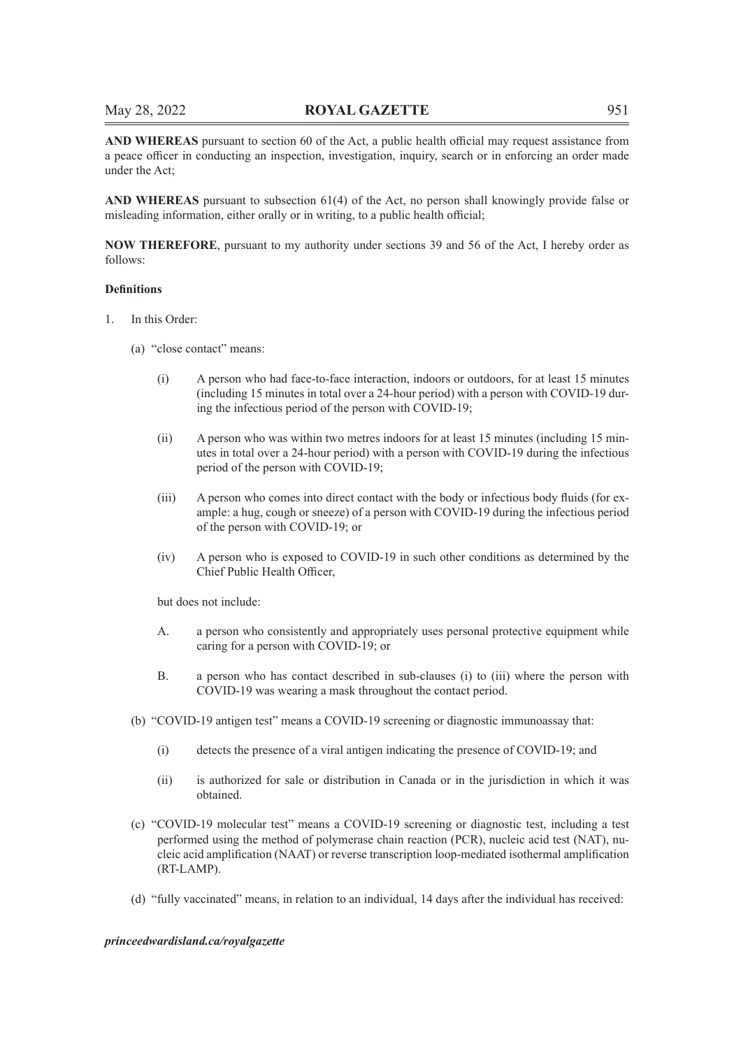**AND WHEREAS** pursuant to section 60 of the Act, a public health official may request assistance from a peace officer in conducting an inspection, investigation, inquiry, search or in enforcing an order made under the Act;

**AND WHEREAS** pursuant to subsection 61(4) of the Act, no person shall knowingly provide false or misleading information, either orally or in writing, to a public health official;

**NOW THEREFORE**, pursuant to my authority under sections 39 and 56 of the Act, I hereby order as follows:

### **Definitions**

- 1. In this Order:
	- (a) "close contact" means:
		- (i) A person who had face-to-face interaction, indoors or outdoors, for at least 15 minutes (including 15 minutes in total over a 24-hour period) with a person with COVID-19 during the infectious period of the person with COVID-19;
		- (ii) A person who was within two metres indoors for at least 15 minutes (including 15 minutes in total over a 24-hour period) with a person with COVID-19 during the infectious period of the person with COVID-19;
		- (iii) A person who comes into direct contact with the body or infectious body fluids (for example: a hug, cough or sneeze) of a person with COVID-19 during the infectious period of the person with COVID-19; or
		- (iv) A person who is exposed to COVID-19 in such other conditions as determined by the Chief Public Health Officer,

but does not include:

- A. a person who consistently and appropriately uses personal protective equipment while caring for a person with COVID-19; or
- B. a person who has contact described in sub-clauses (i) to (iii) where the person with COVID-19 was wearing a mask throughout the contact period.
- (b) "COVID-19 antigen test" means a COVID-19 screening or diagnostic immunoassay that:
	- (i) detects the presence of a viral antigen indicating the presence of COVID-19; and
	- (ii) is authorized for sale or distribution in Canada or in the jurisdiction in which it was obtained.
- (c) "COVID-19 molecular test" means a COVID-19 screening or diagnostic test, including a test performed using the method of polymerase chain reaction (PCR), nucleic acid test (NAT), nucleic acid amplification (NAAT) or reverse transcription loop-mediated isothermal amplification (RT-LAMP).
- (d) "fully vaccinated" means, in relation to an individual, 14 days after the individual has received: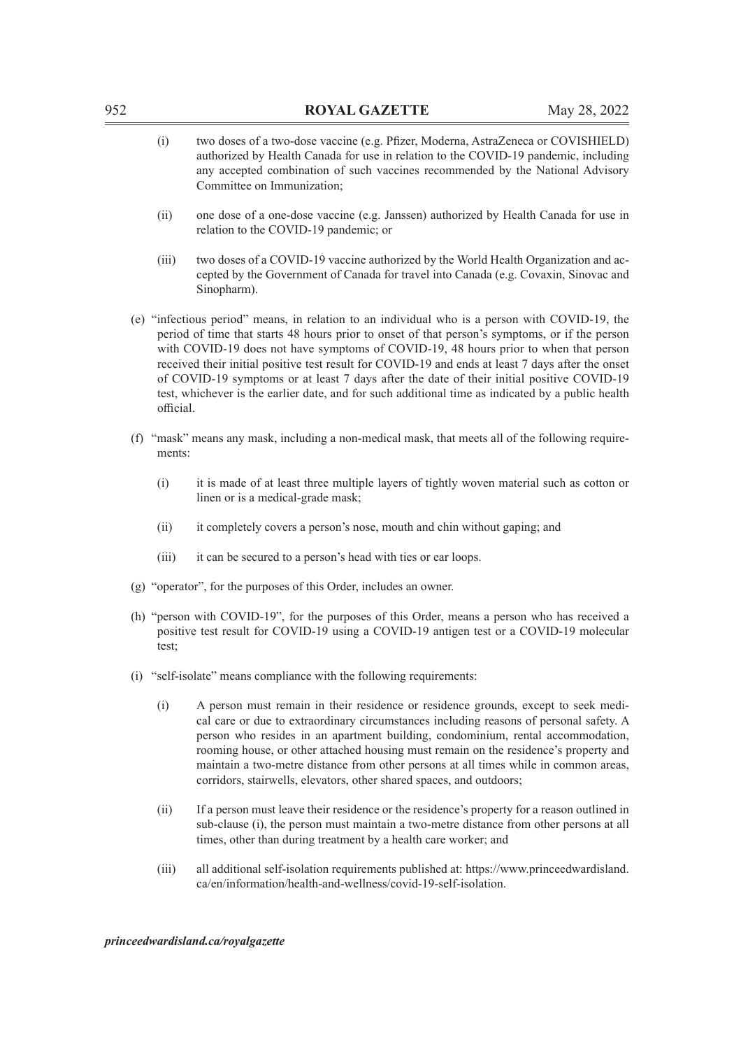| 952 |                                                                                                             | <b>ROYAL GAZETTE</b>                                                                                                                                                                                                                                                                                                                                                                                                                                                                                                                                                                            | May 28, 2022 |
|-----|-------------------------------------------------------------------------------------------------------------|-------------------------------------------------------------------------------------------------------------------------------------------------------------------------------------------------------------------------------------------------------------------------------------------------------------------------------------------------------------------------------------------------------------------------------------------------------------------------------------------------------------------------------------------------------------------------------------------------|--------------|
|     | (i)                                                                                                         | two doses of a two-dose vaccine (e.g. Pfizer, Moderna, AstraZeneca or COVISHIELD)<br>authorized by Health Canada for use in relation to the COVID-19 pandemic, including<br>any accepted combination of such vaccines recommended by the National Advisory<br>Committee on Immunization;                                                                                                                                                                                                                                                                                                        |              |
|     | (ii)                                                                                                        | one dose of a one-dose vaccine (e.g. Janssen) authorized by Health Canada for use in<br>relation to the COVID-19 pandemic; or                                                                                                                                                                                                                                                                                                                                                                                                                                                                   |              |
|     | (iii)                                                                                                       | two doses of a COVID-19 vaccine authorized by the World Health Organization and ac-<br>cepted by the Government of Canada for travel into Canada (e.g. Covaxin, Sinovac and<br>Sinopharm).                                                                                                                                                                                                                                                                                                                                                                                                      |              |
|     | official.                                                                                                   | (e) "infectious period" means, in relation to an individual who is a person with COVID-19, the<br>period of time that starts 48 hours prior to onset of that person's symptoms, or if the person<br>with COVID-19 does not have symptoms of COVID-19, 48 hours prior to when that person<br>received their initial positive test result for COVID-19 and ends at least 7 days after the onset<br>of COVID-19 symptoms or at least 7 days after the date of their initial positive COVID-19<br>test, whichever is the earlier date, and for such additional time as indicated by a public health |              |
|     | (f) "mask" means any mask, including a non-medical mask, that meets all of the following require-<br>ments: |                                                                                                                                                                                                                                                                                                                                                                                                                                                                                                                                                                                                 |              |
|     | (i)                                                                                                         | it is made of at least three multiple layers of tightly woven material such as cotton or<br>linen or is a medical-grade mask;                                                                                                                                                                                                                                                                                                                                                                                                                                                                   |              |
|     | (ii)                                                                                                        | it completely covers a person's nose, mouth and chin without gaping; and                                                                                                                                                                                                                                                                                                                                                                                                                                                                                                                        |              |
|     | (iii)                                                                                                       | it can be secured to a person's head with ties or ear loops.                                                                                                                                                                                                                                                                                                                                                                                                                                                                                                                                    |              |
|     |                                                                                                             | (g) "operator", for the purposes of this Order, includes an owner.                                                                                                                                                                                                                                                                                                                                                                                                                                                                                                                              |              |
|     | test;                                                                                                       | (h) "person with COVID-19", for the purposes of this Order, means a person who has received a<br>positive test result for COVID-19 using a COVID-19 antigen test or a COVID-19 molecular                                                                                                                                                                                                                                                                                                                                                                                                        |              |
|     |                                                                                                             | (i) "self-isolate" means compliance with the following requirements:                                                                                                                                                                                                                                                                                                                                                                                                                                                                                                                            |              |
|     | (i)                                                                                                         | A person must remain in their residence or residence grounds, except to seek medi-<br>cal care or due to extraordinary circumstances including reasons of personal safety. A<br>person who resides in an apartment building, condominium, rental accommodation,<br>rooming house, or other attached housing must remain on the residence's property and<br>maintain a two-metre distance from other persons at all times while in common areas,<br>corridors, stairwells, elevators, other shared spaces, and outdoors;                                                                         |              |
|     | (ii)                                                                                                        | If a person must leave their residence or the residence's property for a reason outlined in<br>sub-clause (i), the person must maintain a two-metre distance from other persons at all<br>times, other than during treatment by a health care worker; and                                                                                                                                                                                                                                                                                                                                       |              |
|     | (iii)                                                                                                       | all additional self-isolation requirements published at: https://www.princeedwardisland.<br>ca/en/information/health-and-wellness/covid-19-self-isolation.                                                                                                                                                                                                                                                                                                                                                                                                                                      |              |

- (ii) one dose of a one-dose vaccine (e.g. Janssen) authorized by Health Canada for use in
- (iii) two doses of a COVID-19 vaccine authorized by the World Health Organization and accepted by the Government of Canada for travel into Canada (e.g. Covaxin, Sinovac and
- (e) "infectious period" means, in relation to an individual who is a person with COVID-19, the period of time that starts 48 hours prior to onset of that person's symptoms, or if the person with COVID-19 does not have symptoms of COVID-19, 48 hours prior to when that person received their initial positive test result for COVID-19 and ends at least 7 days after the onset of COVID-19 symptoms or at least 7 days after the date of their initial positive COVID-19 test, whichever is the earlier date, and for such additional time as indicated by a public health
- (f) "mask" means any mask, including a non-medical mask, that meets all of the following require-
	- (i) it is made of at least three multiple layers of tightly woven material such as cotton or

- (h) "person with COVID-19", for the purposes of this Order, means a person who has received a positive test result for COVID-19 using a COVID-19 antigen test or a COVID-19 molecular
	- cal care or due to extraordinary circumstances including reasons of personal safety. A person who resides in an apartment building, condominium, rental accommodation, rooming house, or other attached housing must remain on the residence's property and maintain a two-metre distance from other persons at all times while in common areas,
	- sub-clause (i), the person must maintain a two-metre distance from other persons at all
	- (iii) all additional self-isolation requirements published at: https://www.princeedwardisland.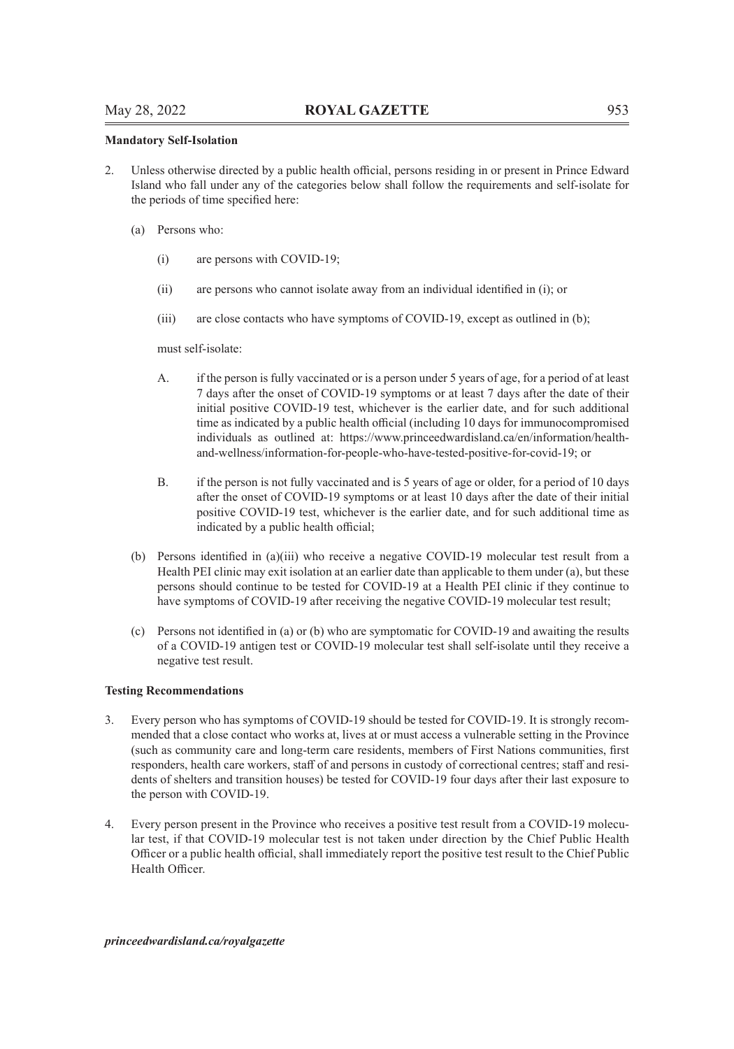### **Mandatory Self-Isolation**

- 2. Unless otherwise directed by a public health official, persons residing in or present in Prince Edward Island who fall under any of the categories below shall follow the requirements and self-isolate for the periods of time specified here:
	- (a) Persons who:
		- (i) are persons with COVID-19;
		- (ii) are persons who cannot isolate away from an individual identified in (i); or
		- (iii) are close contacts who have symptoms of COVID-19, except as outlined in (b);

must self-isolate:

- A. if the person is fully vaccinated or is a person under 5 years of age, for a period of at least 7 days after the onset of COVID-19 symptoms or at least 7 days after the date of their initial positive COVID-19 test, whichever is the earlier date, and for such additional time as indicated by a public health official (including 10 days for immunocompromised individuals as outlined at: https://www.princeedwardisland.ca/en/information/healthand-wellness/information-for-people-who-have-tested-positive-for-covid-19; or
- B. if the person is not fully vaccinated and is 5 years of age or older, for a period of 10 days after the onset of COVID-19 symptoms or at least 10 days after the date of their initial positive COVID-19 test, whichever is the earlier date, and for such additional time as indicated by a public health official;
- (b) Persons identified in (a)(iii) who receive a negative COVID-19 molecular test result from a Health PEI clinic may exit isolation at an earlier date than applicable to them under (a), but these persons should continue to be tested for COVID-19 at a Health PEI clinic if they continue to have symptoms of COVID-19 after receiving the negative COVID-19 molecular test result;
- (c) Persons not identified in (a) or (b) who are symptomatic for COVID-19 and awaiting the results of a COVID-19 antigen test or COVID-19 molecular test shall self-isolate until they receive a negative test result.

### **Testing Recommendations**

- 3. Every person who has symptoms of COVID-19 should be tested for COVID-19. It is strongly recommended that a close contact who works at, lives at or must access a vulnerable setting in the Province (such as community care and long-term care residents, members of First Nations communities, first responders, health care workers, staff of and persons in custody of correctional centres; staff and residents of shelters and transition houses) be tested for COVID-19 four days after their last exposure to the person with COVID-19.
- 4. Every person present in the Province who receives a positive test result from a COVID-19 molecular test, if that COVID-19 molecular test is not taken under direction by the Chief Public Health Officer or a public health official, shall immediately report the positive test result to the Chief Public Health Officer.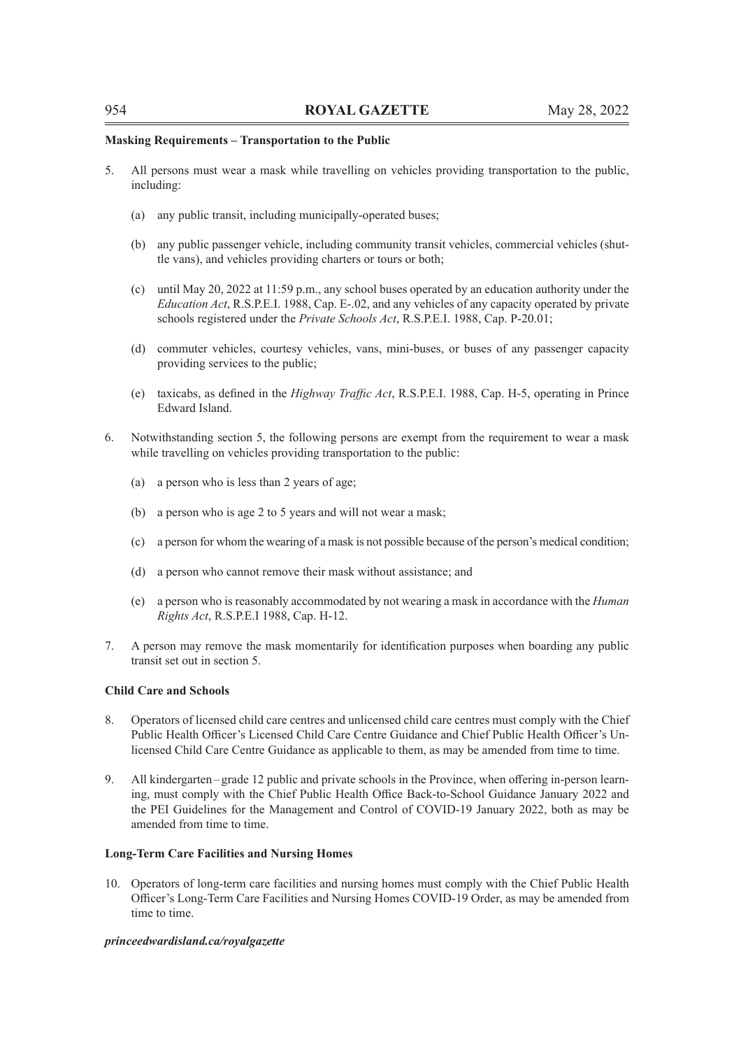### **Masking Requirements – Transportation to the Public**

- 5. All persons must wear a mask while travelling on vehicles providing transportation to the public, including:
	- (a) any public transit, including municipally-operated buses;
	- (b) any public passenger vehicle, including community transit vehicles, commercial vehicles (shuttle vans), and vehicles providing charters or tours or both;
	- (c) until May 20, 2022 at 11:59 p.m., any school buses operated by an education authority under the *Education Act*, R.S.P.E.I. 1988, Cap. E-.02, and any vehicles of any capacity operated by private schools registered under the *Private Schools Act*, R.S.P.E.I. 1988, Cap. P-20.01;
	- (d) commuter vehicles, courtesy vehicles, vans, mini-buses, or buses of any passenger capacity providing services to the public;
	- (e) taxicabs, as defined in the *Highway Traffic Act*, R.S.P.E.I. 1988, Cap. H-5, operating in Prince Edward Island.
- 6. Notwithstanding section 5, the following persons are exempt from the requirement to wear a mask while travelling on vehicles providing transportation to the public:
	- (a) a person who is less than 2 years of age;
	- (b) a person who is age 2 to 5 years and will not wear a mask;
	- (c) a person for whom the wearing of a mask is not possible because of the person's medical condition;
	- (d) a person who cannot remove their mask without assistance; and
	- (e) a person who is reasonably accommodated by not wearing a mask in accordance with the *Human Rights Act*, R.S.P.E.I 1988, Cap. H-12.
- 7. A person may remove the mask momentarily for identification purposes when boarding any public transit set out in section 5.

### **Child Care and Schools**

- 8. Operators of licensed child care centres and unlicensed child care centres must comply with the Chief Public Health Officer's Licensed Child Care Centre Guidance and Chief Public Health Officer's Unlicensed Child Care Centre Guidance as applicable to them, as may be amended from time to time.
- 9. All kindergarten–grade 12 public and private schools in the Province, when offering in-person learning, must comply with the Chief Public Health Office Back-to-School Guidance January 2022 and the PEI Guidelines for the Management and Control of COVID-19 January 2022, both as may be amended from time to time.

### **Long-Term Care Facilities and Nursing Homes**

10. Operators of long-term care facilities and nursing homes must comply with the Chief Public Health Officer's Long-Term Care Facilities and Nursing Homes COVID-19 Order, as may be amended from time to time.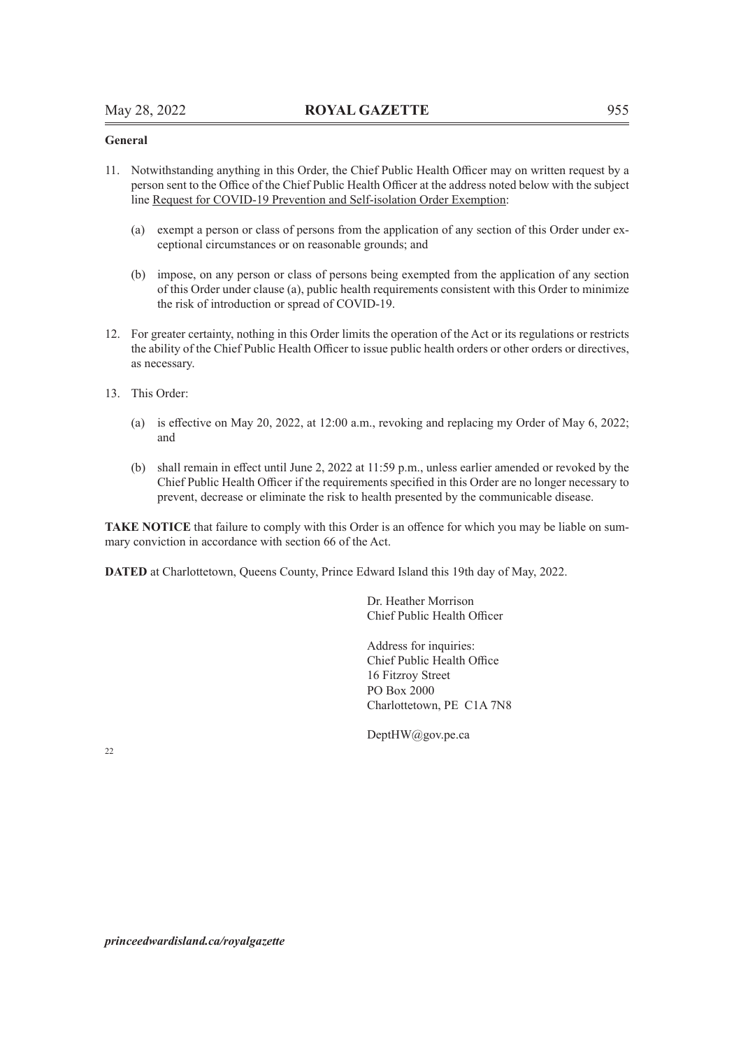### **General**

- 11. Notwithstanding anything in this Order, the Chief Public Health Officer may on written request by a person sent to the Office of the Chief Public Health Officer at the address noted below with the subject line Request for COVID-19 Prevention and Self-isolation Order Exemption:
	- (a) exempt a person or class of persons from the application of any section of this Order under exceptional circumstances or on reasonable grounds; and
	- (b) impose, on any person or class of persons being exempted from the application of any section of this Order under clause (a), public health requirements consistent with this Order to minimize the risk of introduction or spread of COVID-19.
- 12. For greater certainty, nothing in this Order limits the operation of the Act or its regulations or restricts the ability of the Chief Public Health Officer to issue public health orders or other orders or directives, as necessary.
- 13. This Order:
	- (a) is effective on May 20, 2022, at 12:00 a.m., revoking and replacing my Order of May 6, 2022; and
	- (b) shall remain in effect until June 2, 2022 at 11:59 p.m., unless earlier amended or revoked by the Chief Public Health Officer if the requirements specified in this Order are no longer necessary to prevent, decrease or eliminate the risk to health presented by the communicable disease.

**TAKE NOTICE** that failure to comply with this Order is an offence for which you may be liable on summary conviction in accordance with section 66 of the Act.

**DATED** at Charlottetown, Queens County, Prince Edward Island this 19th day of May, 2022.

Dr. Heather Morrison Chief Public Health Officer

Address for inquiries: Chief Public Health Office 16 Fitzroy Street PO Box 2000 Charlottetown, PE C1A 7N8

DeptHW@gov.pe.ca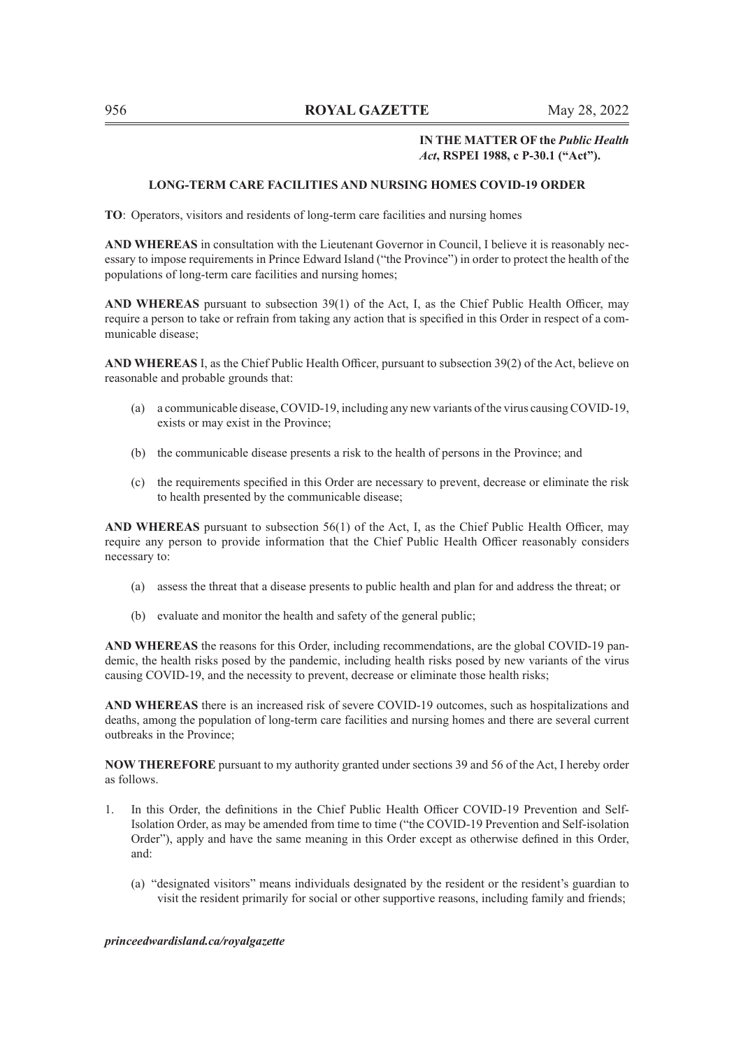### **IN THE MATTER OF the** *Public Health Act***, RSPEI 1988, c P-30.1 ("Act").**

### **LONG-TERM CARE FACILITIES AND NURSING HOMES COVID-19 ORDER**

**TO**: Operators, visitors and residents of long-term care facilities and nursing homes

**AND WHEREAS** in consultation with the Lieutenant Governor in Council, I believe it is reasonably necessary to impose requirements in Prince Edward Island ("the Province") in order to protect the health of the populations of long-term care facilities and nursing homes;

**AND WHEREAS** pursuant to subsection 39(1) of the Act, I, as the Chief Public Health Officer, may require a person to take or refrain from taking any action that is specified in this Order in respect of a communicable disease;

**AND WHEREAS** I, as the Chief Public Health Officer, pursuant to subsection 39(2) of the Act, believe on reasonable and probable grounds that:

- (a) a communicable disease, COVID-19, including any new variants of the virus causing COVID-19, exists or may exist in the Province;
- (b) the communicable disease presents a risk to the health of persons in the Province; and
- (c) the requirements specified in this Order are necessary to prevent, decrease or eliminate the risk to health presented by the communicable disease;

**AND WHEREAS** pursuant to subsection 56(1) of the Act, I, as the Chief Public Health Officer, may require any person to provide information that the Chief Public Health Officer reasonably considers necessary to:

- (a) assess the threat that a disease presents to public health and plan for and address the threat; or
- (b) evaluate and monitor the health and safety of the general public;

**AND WHEREAS** the reasons for this Order, including recommendations, are the global COVID-19 pandemic, the health risks posed by the pandemic, including health risks posed by new variants of the virus causing COVID-19, and the necessity to prevent, decrease or eliminate those health risks;

**AND WHEREAS** there is an increased risk of severe COVID-19 outcomes, such as hospitalizations and deaths, among the population of long-term care facilities and nursing homes and there are several current outbreaks in the Province;

**NOW THEREFORE** pursuant to my authority granted under sections 39 and 56 of the Act, I hereby order as follows.

- 1. In this Order, the definitions in the Chief Public Health Officer COVID-19 Prevention and Self-Isolation Order, as may be amended from time to time ("the COVID-19 Prevention and Self-isolation Order"), apply and have the same meaning in this Order except as otherwise defined in this Order, and:
	- (a) "designated visitors" means individuals designated by the resident or the resident's guardian to visit the resident primarily for social or other supportive reasons, including family and friends;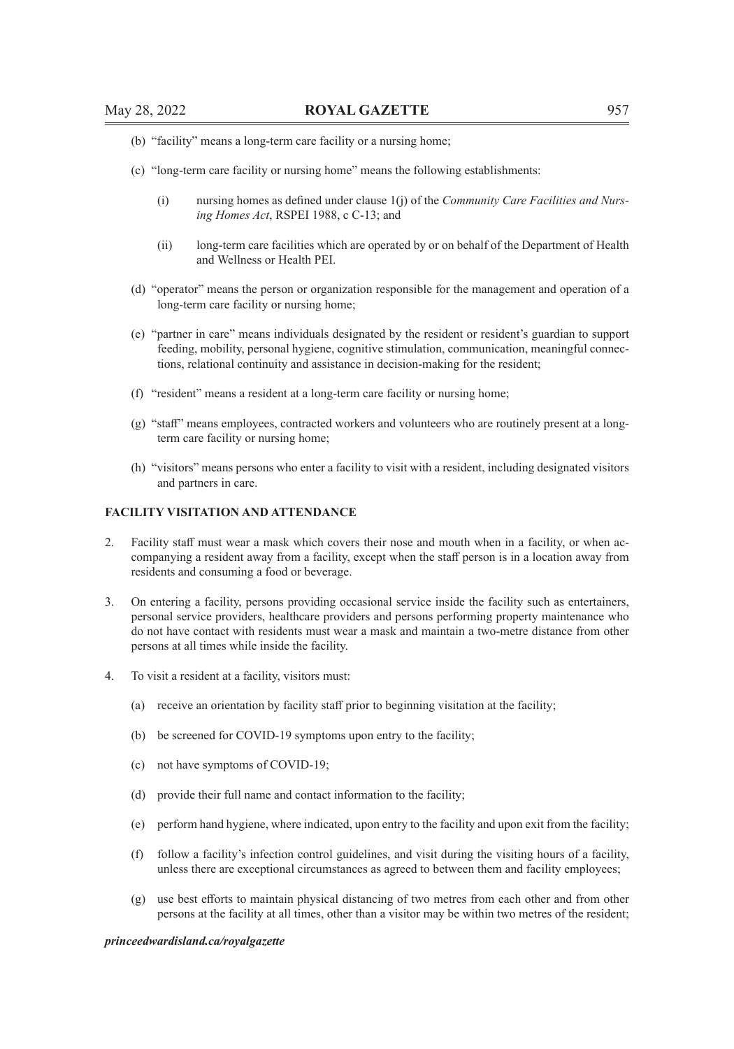- (b) "facility" means a long-term care facility or a nursing home;
- (c) "long-term care facility or nursing home" means the following establishments:
	- (i) nursing homes as defined under clause 1(j) of the *Community Care Facilities and Nursing Homes Act*, RSPEI 1988, c C-13; and
	- (ii) long-term care facilities which are operated by or on behalf of the Department of Health and Wellness or Health PEI.
- (d) "operator" means the person or organization responsible for the management and operation of a long-term care facility or nursing home;
- (e) "partner in care" means individuals designated by the resident or resident's guardian to support feeding, mobility, personal hygiene, cognitive stimulation, communication, meaningful connections, relational continuity and assistance in decision-making for the resident;
- (f) "resident" means a resident at a long-term care facility or nursing home;
- (g) "staff" means employees, contracted workers and volunteers who are routinely present at a longterm care facility or nursing home;
- (h) "visitors" means persons who enter a facility to visit with a resident, including designated visitors and partners in care.

### **FACILITY VISITATION AND ATTENDANCE**

- 2. Facility staff must wear a mask which covers their nose and mouth when in a facility, or when accompanying a resident away from a facility, except when the staff person is in a location away from residents and consuming a food or beverage.
- 3. On entering a facility, persons providing occasional service inside the facility such as entertainers, personal service providers, healthcare providers and persons performing property maintenance who do not have contact with residents must wear a mask and maintain a two-metre distance from other persons at all times while inside the facility.
- 4. To visit a resident at a facility, visitors must:
	- (a) receive an orientation by facility staff prior to beginning visitation at the facility;
	- (b) be screened for COVID-19 symptoms upon entry to the facility;
	- (c) not have symptoms of COVID-19;
	- (d) provide their full name and contact information to the facility;
	- (e) perform hand hygiene, where indicated, upon entry to the facility and upon exit from the facility;
	- (f) follow a facility's infection control guidelines, and visit during the visiting hours of a facility, unless there are exceptional circumstances as agreed to between them and facility employees;
	- (g) use best efforts to maintain physical distancing of two metres from each other and from other persons at the facility at all times, other than a visitor may be within two metres of the resident;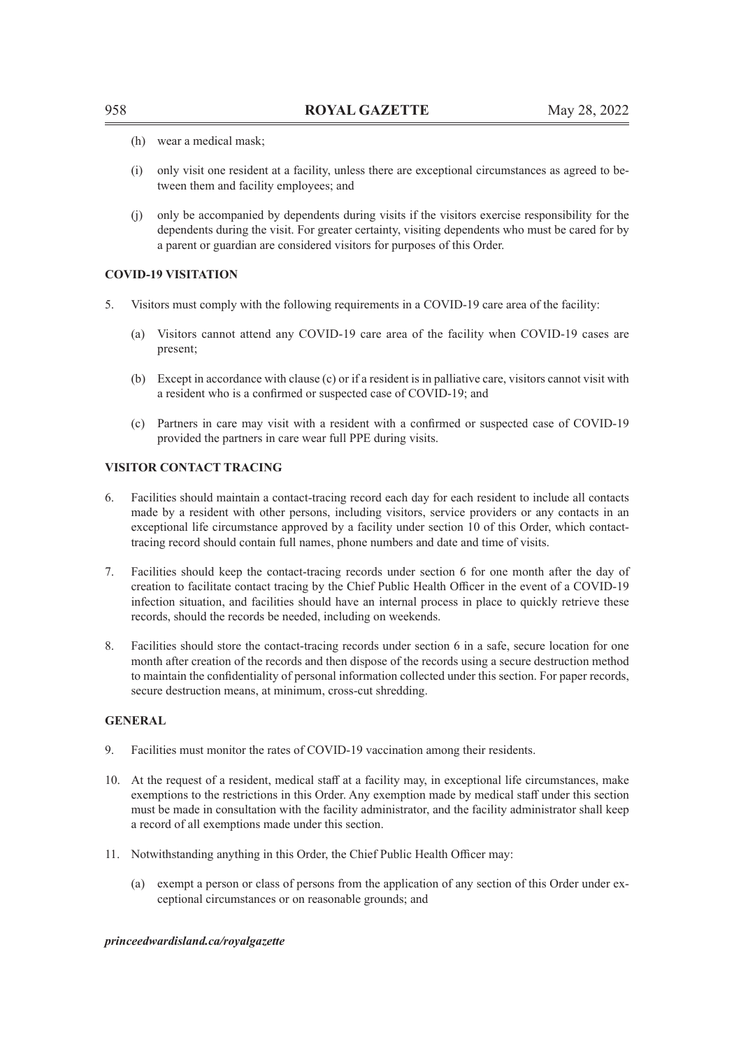- (h) wear a medical mask;
- (i) only visit one resident at a facility, unless there are exceptional circumstances as agreed to between them and facility employees; and
- (j) only be accompanied by dependents during visits if the visitors exercise responsibility for the dependents during the visit. For greater certainty, visiting dependents who must be cared for by a parent or guardian are considered visitors for purposes of this Order.

# **COVID-19 VISITATION**

- 5. Visitors must comply with the following requirements in a COVID-19 care area of the facility:
	- (a) Visitors cannot attend any COVID-19 care area of the facility when COVID-19 cases are present;
	- (b) Except in accordance with clause (c) or if a resident is in palliative care, visitors cannot visit with a resident who is a confirmed or suspected case of COVID-19; and
	- (c) Partners in care may visit with a resident with a confirmed or suspected case of COVID-19 provided the partners in care wear full PPE during visits.

### **VISITOR CONTACT TRACING**

- 6. Facilities should maintain a contact-tracing record each day for each resident to include all contacts made by a resident with other persons, including visitors, service providers or any contacts in an exceptional life circumstance approved by a facility under section 10 of this Order, which contacttracing record should contain full names, phone numbers and date and time of visits.
- 7. Facilities should keep the contact-tracing records under section 6 for one month after the day of creation to facilitate contact tracing by the Chief Public Health Officer in the event of a COVID-19 infection situation, and facilities should have an internal process in place to quickly retrieve these records, should the records be needed, including on weekends.
- 8. Facilities should store the contact-tracing records under section 6 in a safe, secure location for one month after creation of the records and then dispose of the records using a secure destruction method to maintain the confidentiality of personal information collected under this section. For paper records, secure destruction means, at minimum, cross-cut shredding.

### **GENERAL**

- 9. Facilities must monitor the rates of COVID-19 vaccination among their residents.
- 10. At the request of a resident, medical staff at a facility may, in exceptional life circumstances, make exemptions to the restrictions in this Order. Any exemption made by medical staff under this section must be made in consultation with the facility administrator, and the facility administrator shall keep a record of all exemptions made under this section.
- 11. Notwithstanding anything in this Order, the Chief Public Health Officer may:
	- (a) exempt a person or class of persons from the application of any section of this Order under exceptional circumstances or on reasonable grounds; and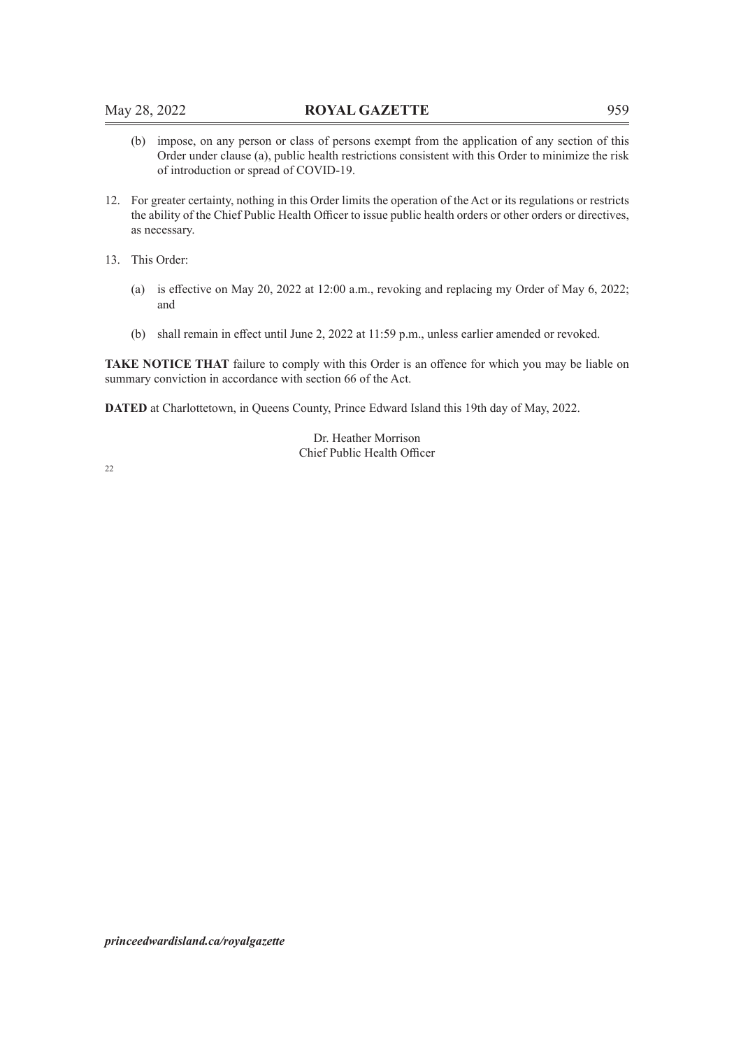- (b) impose, on any person or class of persons exempt from the application of any section of this Order under clause (a), public health restrictions consistent with this Order to minimize the risk of introduction or spread of COVID-19.
- 12. For greater certainty, nothing in this Order limits the operation of the Act or its regulations or restricts the ability of the Chief Public Health Officer to issue public health orders or other orders or directives, as necessary.
- 13. This Order:
	- (a) is effective on May 20, 2022 at 12:00 a.m., revoking and replacing my Order of May 6, 2022; and
	- (b) shall remain in effect until June 2, 2022 at 11:59 p.m., unless earlier amended or revoked.

**TAKE NOTICE THAT** failure to comply with this Order is an offence for which you may be liable on summary conviction in accordance with section 66 of the Act.

**DATED** at Charlottetown, in Queens County, Prince Edward Island this 19th day of May, 2022.

Dr. Heather Morrison Chief Public Health Officer

22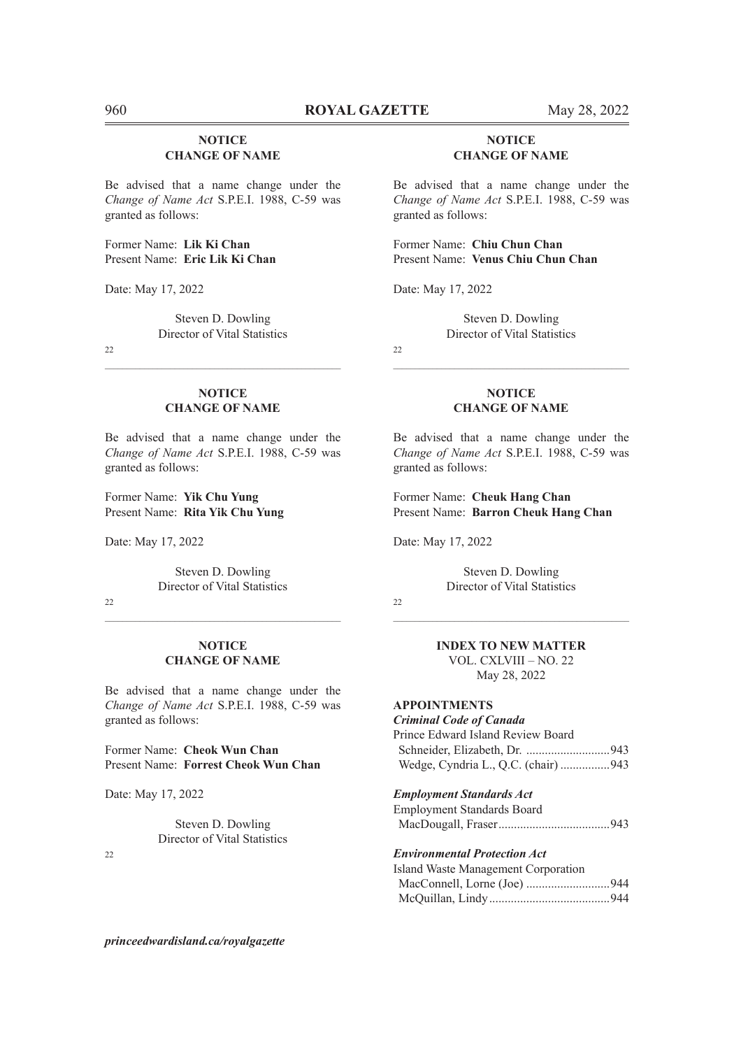# **NOTICE CHANGE OF NAME**

Be advised that a name change under the *Change of Name Act* S.P.E.I. 1988, C-59 was granted as follows:

Former Name: **Lik Ki Chan** Present Name: **Eric Lik Ki Chan**

Date: May 17, 2022

Steven D. Dowling Director of Vital Statistics

22

### **NOTICE CHANGE OF NAME**

 $\mathcal{L}_\text{max} = \mathcal{L}_\text{max} = \mathcal{L}_\text{max} = \mathcal{L}_\text{max} = \mathcal{L}_\text{max} = \mathcal{L}_\text{max} = \mathcal{L}_\text{max} = \mathcal{L}_\text{max} = \mathcal{L}_\text{max} = \mathcal{L}_\text{max} = \mathcal{L}_\text{max} = \mathcal{L}_\text{max} = \mathcal{L}_\text{max} = \mathcal{L}_\text{max} = \mathcal{L}_\text{max} = \mathcal{L}_\text{max} = \mathcal{L}_\text{max} = \mathcal{L}_\text{max} = \mathcal{$ 

Be advised that a name change under the *Change of Name Act* S.P.E.I. 1988, C-59 was granted as follows:

Former Name: **Yik Chu Yung** Present Name: **Rita Yik Chu Yung**

Date: May 17, 2022

Steven D. Dowling Director of Vital Statistics

 $22$ 

### **NOTICE CHANGE OF NAME**

Be advised that a name change under the *Change of Name Act* S.P.E.I. 1988, C-59 was granted as follows:

Former Name: **Cheok Wun Chan** Present Name: **Forrest Cheok Wun Chan**

Date: May 17, 2022

Steven D. Dowling Director of Vital Statistics

22

# **NOTICE CHANGE OF NAME**

Be advised that a name change under the *Change of Name Act* S.P.E.I. 1988, C-59 was granted as follows:

Former Name: **Chiu Chun Chan** Present Name: **Venus Chiu Chun Chan**

Date: May 17, 2022

Steven D. Dowling Director of Vital Statistics

 $22$ 

### **NOTICE CHANGE OF NAME**

 $\mathcal{L}_\text{max} = \mathcal{L}_\text{max} = \mathcal{L}_\text{max} = \mathcal{L}_\text{max} = \mathcal{L}_\text{max} = \mathcal{L}_\text{max} = \mathcal{L}_\text{max} = \mathcal{L}_\text{max} = \mathcal{L}_\text{max} = \mathcal{L}_\text{max} = \mathcal{L}_\text{max} = \mathcal{L}_\text{max} = \mathcal{L}_\text{max} = \mathcal{L}_\text{max} = \mathcal{L}_\text{max} = \mathcal{L}_\text{max} = \mathcal{L}_\text{max} = \mathcal{L}_\text{max} = \mathcal{$ 

Be advised that a name change under the *Change of Name Act* S.P.E.I. 1988, C-59 was granted as follows:

Former Name: **Cheuk Hang Chan** Present Name: **Barron Cheuk Hang Chan**

Date: May 17, 2022

Steven D. Dowling Director of Vital Statistics

 $22$ 

# **INDEX TO NEW MATTER**

VOL. CXLVIII – NO. 22 May 28, 2022

# **APPOINTMENTS**

*Criminal Code of Canada* Prince Edward Island Review Board Schneider, Elizabeth, Dr. ...........................943 Wedge, Cyndria L., Q.C. (chair) ................943

*Employment Standards Act*

Employment Standards Board MacDougall, Fraser....................................943

### *Environmental Protection Act*

| Island Waste Management Corporation |  |
|-------------------------------------|--|
|                                     |  |
|                                     |  |